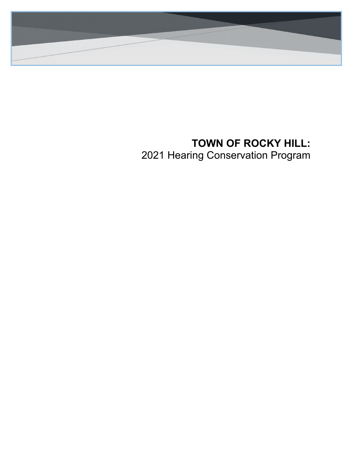

# **TOWN OF ROCKY HILL:** 2021 Hearing Conservation Program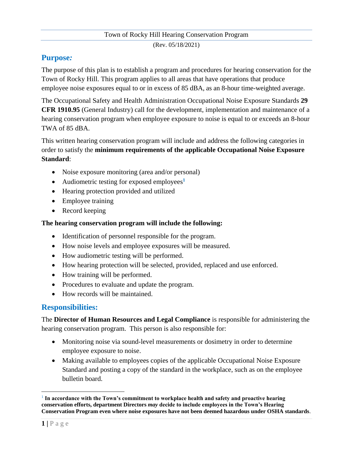## Town of Rocky Hill Hearing Conservation Program

(Rev. 05/18/2021)

## **Purpose***:*

The purpose of this plan is to establish a program and procedures for hearing conservation for the Town of Rocky Hill. This program applies to all areas that have operations that produce employee noise exposures equal to or in excess of 85 dBA, as an 8-hour time-weighted average.

The Occupational Safety and Health Administration Occupational Noise Exposure Standards **29 CFR 1910.95** (General Industry) call for the development, implementation and maintenance of a hearing conservation program when employee exposure to noise is equal to or exceeds an 8-hour TWA of 85 dBA.

This written hearing conservation program will include and address the following categories in order to satisfy the **minimum requirements of the applicable Occupational Noise Exposure Standard**:

- Noise exposure monitoring (area and/or personal)
- Audiometric testing for exposed employees<sup>1</sup>
- Hearing protection provided and utilized
- Employee training
- Record keeping

## **The hearing conservation program will include the following:**

- Identification of personnel responsible for the program.
- How noise levels and employee exposures will be measured.
- How audiometric testing will be performed.
- How hearing protection will be selected, provided, replaced and use enforced.
- How training will be performed.
- Procedures to evaluate and update the program.
- How records will be maintained.

## **Responsibilities:**

The **Director of Human Resources and Legal Compliance** is responsible for administering the hearing conservation program. This person is also responsible for:

- Monitoring noise via sound-level measurements or dosimetry in order to determine employee exposure to noise.
- Making available to employees copies of the applicable Occupational Noise Exposure Standard and posting a copy of the standard in the workplace, such as on the employee bulletin board.

 $\overline{a}$ 

<sup>&</sup>lt;sup>1</sup> In accordance with the Town's commitment to workplace health and safety and proactive hearing **conservation efforts, department Directors** *may* **decide to include employees in the Town's Hearing Conservation Program even where noise exposures have not been deemed hazardous under OSHA standards**.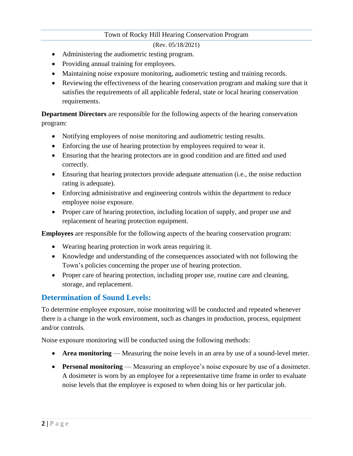## Town of Rocky Hill Hearing Conservation Program

## (Rev. 05/18/2021)

- Administering the audiometric testing program.
- Providing annual training for employees.
- Maintaining noise exposure monitoring, audiometric testing and training records.
- Reviewing the effectiveness of the hearing conservation program and making sure that it satisfies the requirements of all applicable federal, state or local hearing conservation requirements.

**Department Directors** are responsible for the following aspects of the hearing conservation program:

- Notifying employees of noise monitoring and audiometric testing results.
- Enforcing the use of hearing protection by employees required to wear it.
- Ensuring that the hearing protectors are in good condition and are fitted and used correctly.
- Ensuring that hearing protectors provide adequate attenuation (i.e., the noise reduction rating is adequate).
- Enforcing administrative and engineering controls within the department to reduce employee noise exposure.
- Proper care of hearing protection, including location of supply, and proper use and replacement of hearing protection equipment.

**Employees** are responsible for the following aspects of the hearing conservation program:

- Wearing hearing protection in work areas requiring it.
- Knowledge and understanding of the consequences associated with not following the Town's policies concerning the proper use of hearing protection.
- Proper care of hearing protection, including proper use, routine care and cleaning, storage, and replacement.

## **Determination of Sound Levels:**

To determine employee exposure, noise monitoring will be conducted and repeated whenever there is a change in the work environment, such as changes in production, process, equipment and/or controls.

Noise exposure monitoring will be conducted using the following methods:

- **Area monitoring** Measuring the noise levels in an area by use of a sound-level meter.
- **Personal monitoring** Measuring an employee's noise exposure by use of a dosimeter. A dosimeter is worn by an employee for a representative time frame in order to evaluate noise levels that the employee is exposed to when doing his or her particular job.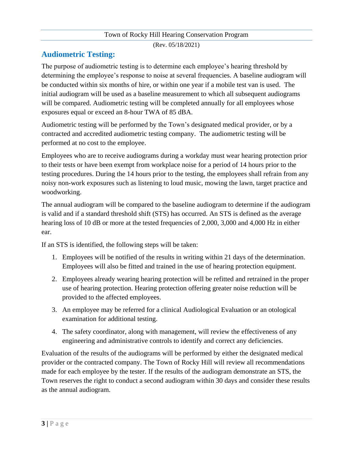(Rev. 05/18/2021)

## **Audiometric Testing:**

The purpose of audiometric testing is to determine each employee's hearing threshold by determining the employee's response to noise at several frequencies. A baseline audiogram will be conducted within six months of hire, or within one year if a mobile test van is used. The initial audiogram will be used as a baseline measurement to which all subsequent audiograms will be compared. Audiometric testing will be completed annually for all employees whose exposures equal or exceed an 8-hour TWA of 85 dBA.

Audiometric testing will be performed by the Town's designated medical provider, or by a contracted and accredited audiometric testing company. The audiometric testing will be performed at no cost to the employee.

Employees who are to receive audiograms during a workday must wear hearing protection prior to their tests or have been exempt from workplace noise for a period of 14 hours prior to the testing procedures. During the 14 hours prior to the testing, the employees shall refrain from any noisy non-work exposures such as listening to loud music, mowing the lawn, target practice and woodworking.

The annual audiogram will be compared to the baseline audiogram to determine if the audiogram is valid and if a standard threshold shift (STS) has occurred. An STS is defined as the average hearing loss of 10 dB or more at the tested frequencies of 2,000, 3,000 and 4,000 Hz in either ear.

If an STS is identified, the following steps will be taken:

- 1. Employees will be notified of the results in writing within 21 days of the determination. Employees will also be fitted and trained in the use of hearing protection equipment.
- 2. Employees already wearing hearing protection will be refitted and retrained in the proper use of hearing protection. Hearing protection offering greater noise reduction will be provided to the affected employees.
- 3. An employee may be referred for a clinical Audiological Evaluation or an otological examination for additional testing.
- 4. The safety coordinator, along with management, will review the effectiveness of any engineering and administrative controls to identify and correct any deficiencies.

Evaluation of the results of the audiograms will be performed by either the designated medical provider or the contracted company. The Town of Rocky Hill will review all recommendations made for each employee by the tester. If the results of the audiogram demonstrate an STS, the Town reserves the right to conduct a second audiogram within 30 days and consider these results as the annual audiogram.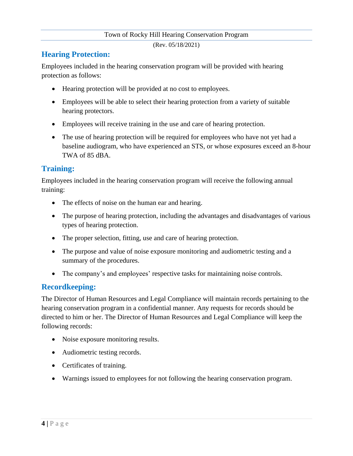## Town of Rocky Hill Hearing Conservation Program

(Rev. 05/18/2021)

## **Hearing Protection:**

Employees included in the hearing conservation program will be provided with hearing protection as follows:

- Hearing protection will be provided at no cost to employees.
- Employees will be able to select their hearing protection from a variety of suitable hearing protectors.
- Employees will receive training in the use and care of hearing protection.
- The use of hearing protection will be required for employees who have not yet had a baseline audiogram, who have experienced an STS, or whose exposures exceed an 8-hour TWA of 85 dBA.

## **Training:**

Employees included in the hearing conservation program will receive the following annual training:

- The effects of noise on the human ear and hearing.
- The purpose of hearing protection, including the advantages and disadvantages of various types of hearing protection.
- The proper selection, fitting, use and care of hearing protection.
- The purpose and value of noise exposure monitoring and audiometric testing and a summary of the procedures.
- The company's and employees' respective tasks for maintaining noise controls.

## **Recordkeeping:**

The Director of Human Resources and Legal Compliance will maintain records pertaining to the hearing conservation program in a confidential manner. Any requests for records should be directed to him or her. The Director of Human Resources and Legal Compliance will keep the following records:

- Noise exposure monitoring results.
- Audiometric testing records.
- Certificates of training.
- Warnings issued to employees for not following the hearing conservation program.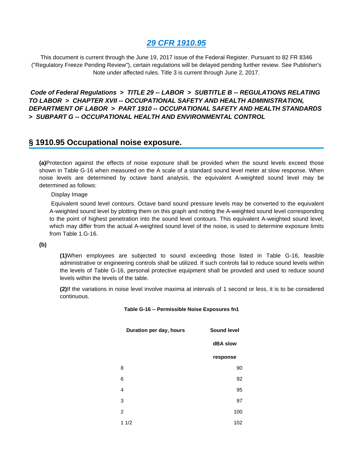This document is current through the June 19, 2017 issue of the Federal Register. Pursuant to 82 FR 8346 ("Regulatory Freeze Pending Review"), certain regulations will be delayed pending further review. See Publisher's Note under affected rules. Title 3 is current through June 2, 2017.

 **Code of Federal Regulations > TITLE 29 -- LABOR > SUBTITLE B -- REGULATIONS RELATING TO LABOR > CHAPTER XVII -- OCCUPATIONAL SAFETY AND HEALTH ADMINISTRATION, DEPARTMENT OF LABOR > PART 1910 -- OCCUPATIONAL SAFETY AND HEALTH STANDARDS > SUBPART G -- OCCUPATIONAL HEALTH AND ENVIRONMENTAL CONTROL**

## **§ 1910.95 Occupational noise exposure.**

**(a)**Protection against the effects of noise exposure shall be provided when the sound levels exceed those shown in Table G-16 when measured on the A scale of a standard sound level meter at slow response. When noise levels are determined by octave band analysis, the equivalent A-weighted sound level may be determined as follows:

Display Image

 Equivalent sound level contours. Octave band sound pressure levels may be converted to the equivalent A-weighted sound level by plotting them on this graph and noting the A-weighted sound level corresponding to the point of highest penetration into the sound level contours. This equivalent A-weighted sound level, which may differ from the actual A-weighted sound level of the noise, is used to determine exposure limits from Table 1.G-16.

**(b)**

**(1)**When employees are subjected to sound exceeding those listed in Table G-16, feasible administrative or engineering controls shall be utilized. If such controls fail to reduce sound levels within the levels of Table G-16, personal protective equipment shall be provided and used to reduce sound levels within the levels of the table.

**(2)**If the variations in noise level involve maxima at intervals of 1 second or less, it is to be considered continuous.

#### **Table G-16 -- Permissible Noise Exposures fn1**

| Duration per day, hours | <b>Sound level</b> |  |  |
|-------------------------|--------------------|--|--|
|                         | dBA slow           |  |  |
|                         | response           |  |  |
| 8                       | 90                 |  |  |
| 6                       | 92                 |  |  |
| 4                       | 95                 |  |  |
| 3                       | 97                 |  |  |
| $\overline{2}$          | 100                |  |  |
| 11/2                    | 102                |  |  |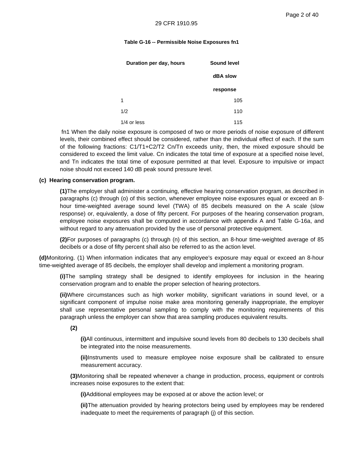### **Table G-16 -- Permissible Noise Exposures fn1**

| Duration per day, hours | Sound level |  |  |
|-------------------------|-------------|--|--|
|                         | dBA slow    |  |  |
|                         | response    |  |  |
| 1                       | 105         |  |  |
| 1/2                     | 110         |  |  |
| 1/4 or less             | 115         |  |  |

 fn1 When the daily noise exposure is composed of two or more periods of noise exposure of different levels, their combined effect should be considered, rather than the individual effect of each. If the sum of the following fractions: C1/T1+C2/T2 Cn/Tn exceeds unity, then, the mixed exposure should be considered to exceed the limit value. Cn indicates the total time of exposure at a specified noise level, and Tn indicates the total time of exposure permitted at that level. Exposure to impulsive or impact noise should not exceed 140 dB peak sound pressure level.

#### **(c) Hearing conservation program.**

**(1)**The employer shall administer a continuing, effective hearing conservation program, as described in paragraphs (c) through (o) of this section, whenever employee noise exposures equal or exceed an 8 hour time-weighted average sound level (TWA) of 85 decibels measured on the A scale (slow response) or, equivalently, a dose of fifty percent. For purposes of the hearing conservation program, employee noise exposures shall be computed in accordance with appendix A and Table G-16a, and without regard to any attenuation provided by the use of personal protective equipment.

**(2)**For purposes of paragraphs (c) through (n) of this section, an 8-hour time-weighted average of 85 decibels or a dose of fifty percent shall also be referred to as the action level.

**(d)**Monitoring. (1) When information indicates that any employee's exposure may equal or exceed an 8-hour time-weighted average of 85 decibels, the employer shall develop and implement a monitoring program.

**(i)**The sampling strategy shall be designed to identify employees for inclusion in the hearing conservation program and to enable the proper selection of hearing protectors.

**(ii)**Where circumstances such as high worker mobility, significant variations in sound level, or a significant component of impulse noise make area monitoring generally inappropriate, the employer shall use representative personal sampling to comply with the monitoring requirements of this paragraph unless the employer can show that area sampling produces equivalent results.

**(2)**

**(i)**All continuous, intermittent and impulsive sound levels from 80 decibels to 130 decibels shall be integrated into the noise measurements.

**(ii)**Instruments used to measure employee noise exposure shall be calibrated to ensure measurement accuracy.

**(3)**Monitoring shall be repeated whenever a change in production, process, equipment or controls increases noise exposures to the extent that:

**(i)**Additional employees may be exposed at or above the action level; or

**(ii)**The attenuation provided by hearing protectors being used by employees may be rendered inadequate to meet the requirements of paragraph (j) of this section.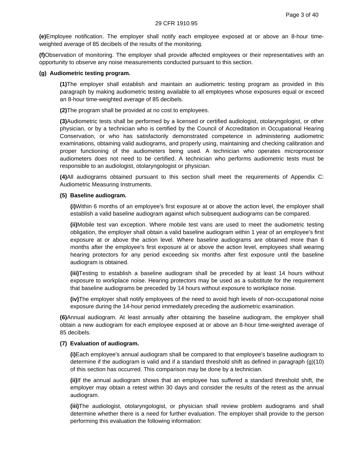**(e)**Employee notification. The employer shall notify each employee exposed at or above an 8-hour timeweighted average of 85 decibels of the results of the monitoring.

**(f)**Observation of monitoring. The employer shall provide affected employees or their representatives with an opportunity to observe any noise measurements conducted pursuant to this section.

#### **(g) Audiometric testing program.**

**(1)**The employer shall establish and maintain an audiometric testing program as provided in this paragraph by making audiometric testing available to all employees whose exposures equal or exceed an 8-hour time-weighted average of 85 decibels.

**(2)**The program shall be provided at no cost to employees.

**(3)**Audiometric tests shall be performed by a licensed or certified audiologist, otolaryngologist, or other physician, or by a technician who is certified by the Council of Accreditation in Occupational Hearing Conservation, or who has satisfactorily demonstrated competence in administering audiometric examinations, obtaining valid audiograms, and properly using, maintaining and checking calibration and proper functioning of the audiometers being used. A technician who operates microprocessor audiometers does not need to be certified. A technician who performs audiometric tests must be responsible to an audiologist, otolaryngologist or physician.

**(4)**All audiograms obtained pursuant to this section shall meet the requirements of Appendix C: Audiometric Measuring Instruments.

#### **(5) Baseline audiogram.**

**(i)**Within 6 months of an employee's first exposure at or above the action level, the employer shall establish a valid baseline audiogram against which subsequent audiograms can be compared.

**(ii)**Mobile test van exception. Where mobile test vans are used to meet the audiometric testing obligation, the employer shall obtain a valid baseline audiogram within 1 year of an employee's first exposure at or above the action level. Where baseline audiograms are obtained more than 6 months after the employee's first exposure at or above the action level, employees shall wearing hearing protectors for any period exceeding six months after first exposure until the baseline audiogram is obtained.

**(iii)**Testing to establish a baseline audiogram shall be preceded by at least 14 hours without exposure to workplace noise. Hearing protectors may be used as a substitute for the requirement that baseline audiograms be preceded by 14 hours without exposure to workplace noise.

**(iv)**The employer shall notify employees of the need to avoid high levels of non-occupational noise exposure during the 14-hour period immediately preceding the audiometric examination.

**(6)**Annual audiogram. At least annually after obtaining the baseline audiogram, the employer shall obtain a new audiogram for each employee exposed at or above an 8-hour time-weighted average of 85 decibels.

#### **(7) Evaluation of audiogram.**

**(i)**Each employee's annual audiogram shall be compared to that employee's baseline audiogram to determine if the audiogram is valid and if a standard threshold shift as defined in paragraph (g)(10) of this section has occurred. This comparison may be done by a technician.

**(ii)**If the annual audiogram shows that an employee has suffered a standard threshold shift, the employer may obtain a retest within 30 days and consider the results of the retest as the annual audiogram.

**(iii)**The audiologist, otolaryngologist, or physician shall review problem audiograms and shall determine whether there is a need for further evaluation. The employer shall provide to the person performing this evaluation the following information: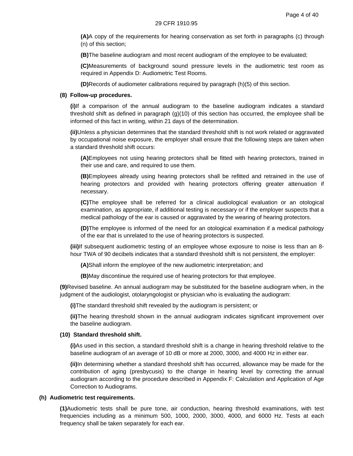**(A)**A copy of the requirements for hearing conservation as set forth in paragraphs (c) through (n) of this section;

**(B)**The baseline audiogram and most recent audiogram of the employee to be evaluated;

**(C)**Measurements of background sound pressure levels in the audiometric test room as required in Appendix D: Audiometric Test Rooms.

**(D)**Records of audiometer calibrations required by paragraph (h)(5) of this section.

#### **(8) Follow-up procedures.**

**(i)**If a comparison of the annual audiogram to the baseline audiogram indicates a standard threshold shift as defined in paragraph (g)(10) of this section has occurred, the employee shall be informed of this fact in writing, within 21 days of the determination.

**(ii)**Unless a physician determines that the standard threshold shift is not work related or aggravated by occupational noise exposure, the employer shall ensure that the following steps are taken when a standard threshold shift occurs:

**(A)**Employees not using hearing protectors shall be fitted with hearing protectors, trained in their use and care, and required to use them.

**(B)**Employees already using hearing protectors shall be refitted and retrained in the use of hearing protectors and provided with hearing protectors offering greater attenuation if necessary.

**(C)**The employee shall be referred for a clinical audiological evaluation or an otological examination, as appropriate, if additional testing is necessary or if the employer suspects that a medical pathology of the ear is caused or aggravated by the wearing of hearing protectors.

**(D)**The employee is informed of the need for an otological examination if a medical pathology of the ear that is unrelated to the use of hearing protectors is suspected.

**(iii)**If subsequent audiometric testing of an employee whose exposure to noise is less than an 8 hour TWA of 90 decibels indicates that a standard threshold shift is not persistent, the employer:

**(A)**Shall inform the employee of the new audiometric interpretation; and

**(B)**May discontinue the required use of hearing protectors for that employee.

**(9)**Revised baseline. An annual audiogram may be substituted for the baseline audiogram when, in the judgment of the audiologist, otolaryngologist or physician who is evaluating the audiogram:

**(i)**The standard threshold shift revealed by the audiogram is persistent; or

**(ii)**The hearing threshold shown in the annual audiogram indicates significant improvement over the baseline audiogram.

#### **(10) Standard threshold shift.**

**(i)**As used in this section, a standard threshold shift is a change in hearing threshold relative to the baseline audiogram of an average of 10 dB or more at 2000, 3000, and 4000 Hz in either ear.

**(ii)**In determining whether a standard threshold shift has occurred, allowance may be made for the contribution of aging (presbycusis) to the change in hearing level by correcting the annual audiogram according to the procedure described in Appendix F: Calculation and Application of Age Correction to Audiograms.

#### **(h) Audiometric test requirements.**

**(1)**Audiometric tests shall be pure tone, air conduction, hearing threshold examinations, with test frequencies including as a minimum 500, 1000, 2000, 3000, 4000, and 6000 Hz. Tests at each frequency shall be taken separately for each ear.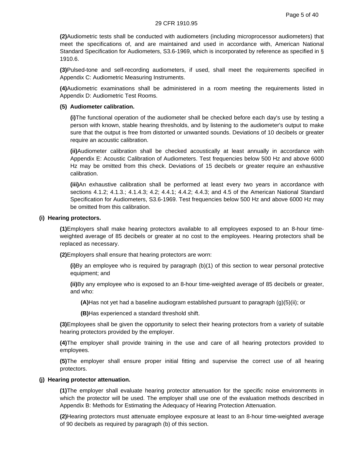**(2)**Audiometric tests shall be conducted with audiometers (including microprocessor audiometers) that meet the specifications of, and are maintained and used in accordance with, American National Standard Specification for Audiometers, S3.6-1969, which is incorporated by reference as specified in § 1910.6.

**(3)**Pulsed-tone and self-recording audiometers, if used, shall meet the requirements specified in Appendix C: Audiometric Measuring Instruments.

**(4)**Audiometric examinations shall be administered in a room meeting the requirements listed in Appendix D: Audiometric Test Rooms.

### **(5) Audiometer calibration.**

**(i)**The functional operation of the audiometer shall be checked before each day's use by testing a person with known, stable hearing thresholds, and by listening to the audiometer's output to make sure that the output is free from distorted or unwanted sounds. Deviations of 10 decibels or greater require an acoustic calibration.

**(ii)**Audiometer calibration shall be checked acoustically at least annually in accordance with Appendix E: Acoustic Calibration of Audiometers. Test frequencies below 500 Hz and above 6000 Hz may be omitted from this check. Deviations of 15 decibels or greater require an exhaustive calibration.

**(iii)**An exhaustive calibration shall be performed at least every two years in accordance with sections 4.1.2; 4.1.3.; 4.1.4.3; 4.2; 4.4.1; 4.4.2; 4.4.3; and 4.5 of the American National Standard Specification for Audiometers, S3.6-1969. Test frequencies below 500 Hz and above 6000 Hz may be omitted from this calibration.

#### **(i) Hearing protectors.**

**(1)**Employers shall make hearing protectors available to all employees exposed to an 8-hour timeweighted average of 85 decibels or greater at no cost to the employees. Hearing protectors shall be replaced as necessary.

**(2)**Employers shall ensure that hearing protectors are worn:

**(i)**By an employee who is required by paragraph (b)(1) of this section to wear personal protective equipment; and

**(ii)**By any employee who is exposed to an 8-hour time-weighted average of 85 decibels or greater, and who:

**(A)**Has not yet had a baseline audiogram established pursuant to paragraph (g)(5)(ii); or

**(B)**Has experienced a standard threshold shift.

**(3)**Employees shall be given the opportunity to select their hearing protectors from a variety of suitable hearing protectors provided by the employer.

**(4)**The employer shall provide training in the use and care of all hearing protectors provided to employees.

**(5)**The employer shall ensure proper initial fitting and supervise the correct use of all hearing protectors.

## **(j) Hearing protector attenuation.**

**(1)**The employer shall evaluate hearing protector attenuation for the specific noise environments in which the protector will be used. The employer shall use one of the evaluation methods described in Appendix B: Methods for Estimating the Adequacy of Hearing Protection Attenuation.

**(2)**Hearing protectors must attenuate employee exposure at least to an 8-hour time-weighted average of 90 decibels as required by paragraph (b) of this section.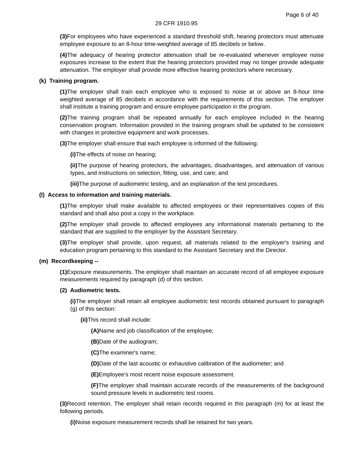**(3)**For employees who have experienced a standard threshold shift, hearing protectors must attenuate employee exposure to an 8-hour time-weighted average of 85 decibels or below.

**(4)**The adequacy of hearing protector attenuation shall be re-evaluated whenever employee noise exposures increase to the extent that the hearing protectors provided may no longer provide adequate attenuation. The employer shall provide more effective hearing protectors where necessary.

#### **(k) Training program.**

**(1)**The employer shall train each employee who is exposed to noise at or above an 8-hour time weighted average of 85 decibels in accordance with the requirements of this section. The employer shall institute a training program and ensure employee participation in the program.

**(2)**The training program shall be repeated annually for each employee included in the hearing conservation program. Information provided in the training program shall be updated to be consistent with changes in protective equipment and work processes.

**(3)**The employer shall ensure that each employee is informed of the following:

**(i)**The effects of noise on hearing;

**(ii)**The purpose of hearing protectors, the advantages, disadvantages, and attenuation of various types, and instructions on selection, fitting, use, and care; and

**(iii)**The purpose of audiometric testing, and an explanation of the test procedures.

#### **(l) Access to information and training materials.**

**(1)**The employer shall make available to affected employees or their representatives copies of this standard and shall also post a copy in the workplace.

**(2)**The employer shall provide to affected employees any informational materials pertaining to the standard that are supplied to the employer by the Assistant Secretary.

**(3)**The employer shall provide, upon request, all materials related to the employer's training and education program pertaining to this standard to the Assistant Secretary and the Director.

### **(m) Recordkeeping --**

**(1)**Exposure measurements. The employer shall maintain an accurate record of all employee exposure measurements required by paragraph (d) of this section.

#### **(2) Audiometric tests.**

**(i)**The employer shall retain all employee audiometric test records obtained pursuant to paragraph (g) of this section:

**(ii)**This record shall include:

**(A)**Name and job classification of the employee;

**(B)**Date of the audiogram;

**(C)**The examiner's name;

**(D)**Date of the last acoustic or exhaustive calibration of the audiometer; and

**(E)**Employee's most recent noise exposure assessment.

**(F)**The employer shall maintain accurate records of the measurements of the background sound pressure levels in audiometric test rooms.

**(3)**Record retention. The employer shall retain records required in this paragraph (m) for at least the following periods.

**(i)**Noise exposure measurement records shall be retained for two years.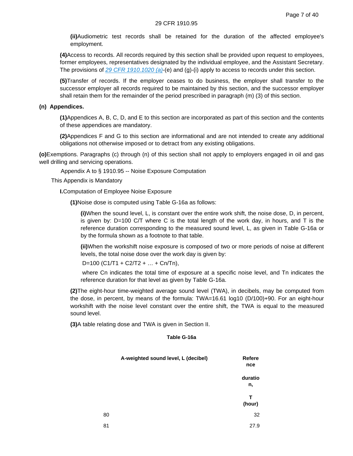**(ii)**Audiometric test records shall be retained for the duration of the affected employee's employment.

**(4)**Access to records. All records required by this section shall be provided upon request to employees, former employees, representatives designated by the individual employee, and the Assistant Secretary. The provisions of [29 CFR 1910.1020 \(a\)](https://advance.lexis.com/api/document?collection=administrative-codes&id=urn:contentItem:5N68-XWN0-008H-03RJ-00000-00&context=)-(e) and (g)-(i) apply to access to records under this section.

**(5)**Transfer of records. If the employer ceases to do business, the employer shall transfer to the successor employer all records required to be maintained by this section, and the successor employer shall retain them for the remainder of the period prescribed in paragraph (m) (3) of this section.

#### **(n) Appendices.**

**(1)**Appendices A, B, C, D, and E to this section are incorporated as part of this section and the contents of these appendices are mandatory.

**(2)**Appendices F and G to this section are informational and are not intended to create any additional obligations not otherwise imposed or to detract from any existing obligations.

**(o)**Exemptions. Paragraphs (c) through (n) of this section shall not apply to employers engaged in oil and gas well drilling and servicing operations.

Appendix A to § 1910.95 -- Noise Exposure Computation

This Appendix is Mandatory

**I.**Computation of Employee Noise Exposure

**(1)**Noise dose is computed using Table G-16a as follows:

**(i)**When the sound level, L, is constant over the entire work shift, the noise dose, D, in percent, is given by:  $D=100$  C/T where C is the total length of the work day, in hours, and T is the reference duration corresponding to the measured sound level, L, as given in Table G-16a or by the formula shown as a footnote to that table.

**(ii)**When the workshift noise exposure is composed of two or more periods of noise at different levels, the total noise dose over the work day is given by:

D=100 (C1/T1 + C2/T2 +  $\dots$  + Cn/Tn),

 where Cn indicates the total time of exposure at a specific noise level, and Tn indicates the reference duration for that level as given by Table G-16a.

**(2)**The eight-hour time-weighted average sound level (TWA), in decibels, may be computed from the dose, in percent, by means of the formula: TWA=16.61 log10 (D/100)+90. For an eight-hour workshift with the noise level constant over the entire shift, the TWA is equal to the measured sound level.

**(3)**A table relating dose and TWA is given in Section II.

#### **Table G-16a**

|    | A-weighted sound level, L (decibel) | Refere<br>nce |
|----|-------------------------------------|---------------|
|    |                                     | duratio<br>n, |
|    |                                     | Т<br>(hour)   |
| 80 |                                     | 32            |
| 81 |                                     | 27.9          |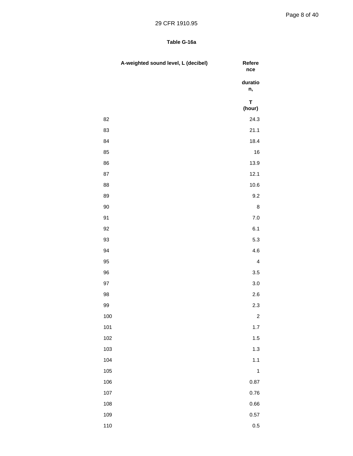## **Table G-16a**

|        | A-weighted sound level, L (decibel) | Refere<br>nce           |
|--------|-------------------------------------|-------------------------|
|        |                                     | duratio<br>n,           |
|        |                                     | T<br>(hour)             |
| 82     |                                     | 24.3                    |
| 83     |                                     | 21.1                    |
| 84     |                                     | 18.4                    |
| 85     |                                     | 16                      |
| 86     |                                     | 13.9                    |
| 87     |                                     | 12.1                    |
| 88     |                                     | 10.6                    |
| 89     |                                     | 9.2                     |
| $90\,$ |                                     | 8                       |
| 91     |                                     | $7.0\,$                 |
| 92     |                                     | 6.1                     |
| 93     |                                     | 5.3                     |
| 94     |                                     | 4.6                     |
| 95     |                                     | $\overline{\mathbf{4}}$ |
| 96     |                                     | 3.5                     |
| 97     |                                     | 3.0                     |
| 98     |                                     | 2.6                     |
| 99     |                                     | 2.3                     |
| 100    |                                     | $\boldsymbol{2}$        |
| 101    |                                     | 1.7                     |
| 102    |                                     | 1.5                     |
| 103    |                                     | $1.3$                   |
| 104    |                                     | 1.1                     |
| 105    |                                     | $\mathbf{1}$            |
| 106    |                                     | 0.87                    |
| 107    |                                     | 0.76                    |
| 108    |                                     | 0.66                    |
| 109    |                                     | 0.57                    |
| 110    |                                     | 0.5                     |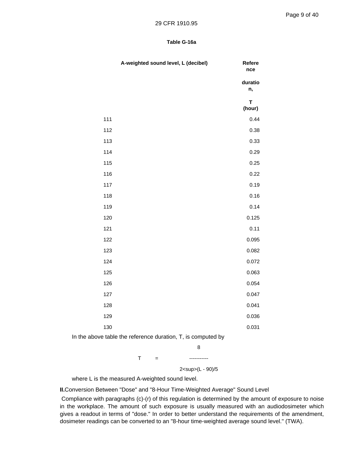## **Table G-16a**

|     | A-weighted sound level, L (decibel) | Refere<br>nce |
|-----|-------------------------------------|---------------|
|     |                                     | duratio<br>n, |
|     |                                     | T<br>(hour)   |
| 111 |                                     | 0.44          |
| 112 |                                     | 0.38          |
| 113 |                                     | 0.33          |
| 114 |                                     | 0.29          |
| 115 |                                     | 0.25          |
| 116 |                                     | 0.22          |
| 117 |                                     | 0.19          |
| 118 |                                     | 0.16          |
| 119 |                                     | 0.14          |
| 120 |                                     | 0.125         |
| 121 |                                     | 0.11          |
| 122 |                                     | 0.095         |
| 123 |                                     | 0.082         |
| 124 |                                     | 0.072         |
| 125 |                                     | 0.063         |
| 126 |                                     | 0.054         |
| 127 |                                     | 0.047         |
| 128 |                                     | 0.041         |
| 129 |                                     | 0.036         |
| 130 |                                     | 0.031         |

In the above table the reference duration, T, is computed by

$$
\begin{matrix}8\end{matrix}
$$

$$
T = \begin{bmatrix} 1 & 1 \\ 1 & 1 \end{bmatrix}
$$

2<sup>(L - 90)/5

where L is the measured A-weighted sound level.

**II.**Conversion Between "Dose" and "8-Hour Time-Weighted Average" Sound Level

 Compliance with paragraphs (c)-(r) of this regulation is determined by the amount of exposure to noise in the workplace. The amount of such exposure is usually measured with an audiodosimeter which gives a readout in terms of "dose." In order to better understand the requirements of the amendment, dosimeter readings can be converted to an "8-hour time-weighted average sound level." (TWA).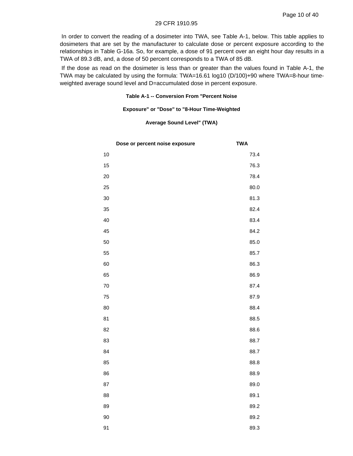In order to convert the reading of a dosimeter into TWA, see Table A-1, below. This table applies to dosimeters that are set by the manufacturer to calculate dose or percent exposure according to the relationships in Table G-16a. So, for example, a dose of 91 percent over an eight hour day results in a TWA of 89.3 dB, and, a dose of 50 percent corresponds to a TWA of 85 dB.

 If the dose as read on the dosimeter is less than or greater than the values found in Table A-1, the TWA may be calculated by using the formula: TWA=16.61 log10 (D/100)+90 where TWA=8-hour timeweighted average sound level and D=accumulated dose in percent exposure.

#### **Table A-1 -- Conversion From "Percent Noise**

#### **Exposure" or "Dose" to "8-Hour Time-Weighted**

|    | Dose or percent noise exposure | <b>TWA</b> |
|----|--------------------------------|------------|
| 10 |                                | 73.4       |
| 15 |                                | 76.3       |
| 20 |                                | 78.4       |
| 25 |                                | 80.0       |
| 30 |                                | 81.3       |
| 35 |                                | 82.4       |
| 40 |                                | 83.4       |
| 45 |                                | 84.2       |
| 50 |                                | 85.0       |
| 55 |                                | 85.7       |
| 60 |                                | 86.3       |
| 65 |                                | 86.9       |
| 70 |                                | 87.4       |
| 75 |                                | 87.9       |
| 80 |                                | 88.4       |
| 81 |                                | 88.5       |
| 82 |                                | 88.6       |
| 83 |                                | 88.7       |
| 84 |                                | 88.7       |
| 85 |                                | 88.8       |
| 86 |                                | 88.9       |
| 87 |                                | 89.0       |
| 88 |                                | 89.1       |
| 89 |                                | 89.2       |
| 90 |                                | 89.2       |
| 91 |                                | 89.3       |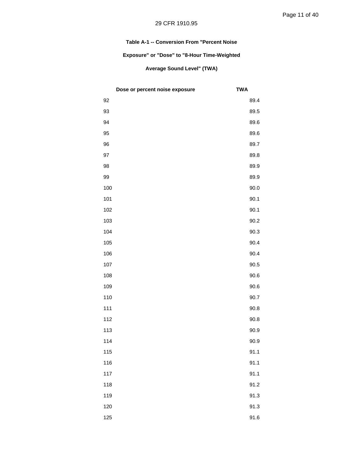## **Table A-1 -- Conversion From "Percent Noise**

## **Exposure" or "Dose" to "8-Hour Time-Weighted**

|     | Dose or percent noise exposure | <b>TWA</b> |
|-----|--------------------------------|------------|
| 92  |                                | 89.4       |
| 93  |                                | 89.5       |
| 94  |                                | 89.6       |
| 95  |                                | 89.6       |
| 96  |                                | 89.7       |
| 97  |                                | 89.8       |
| 98  |                                | 89.9       |
| 99  |                                | 89.9       |
| 100 |                                | 90.0       |
| 101 |                                | 90.1       |
| 102 |                                | 90.1       |
| 103 |                                | 90.2       |
| 104 |                                | 90.3       |
| 105 |                                | 90.4       |
| 106 |                                | 90.4       |
| 107 |                                | 90.5       |
| 108 |                                | 90.6       |
| 109 |                                | 90.6       |
| 110 |                                | 90.7       |
| 111 |                                | 90.8       |
| 112 |                                | 90.8       |
| 113 |                                | 90.9       |
| 114 |                                | 90.9       |
| 115 |                                | 91.1       |
| 116 |                                | 91.1       |
| 117 |                                | 91.1       |
| 118 |                                | 91.2       |
| 119 |                                | 91.3       |
| 120 |                                | 91.3       |
| 125 |                                | 91.6       |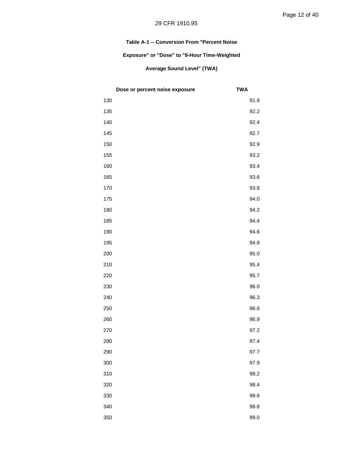## **Table A-1 -- Conversion From "Percent Noise**

## **Exposure" or "Dose" to "8-Hour Time-Weighted**

| Dose or percent noise exposure | <b>TWA</b> |
|--------------------------------|------------|
| 130                            | 91.9       |
| 135                            | 92.2       |
| 140                            | 92.4       |
| 145                            | 92.7       |
| 150                            | 92.9       |
| 155                            | 93.2       |
| 160                            | 93.4       |
| 165                            | 93.6       |
| 170                            | 93.8       |
| 175                            | 94.0       |
| 180                            | 94.2       |
| 185                            | 94.4       |
| 190                            | 94.6       |
| 195                            | 94.8       |
| 200                            | 95.0       |
| 210                            | 95.4       |
| 220                            | 95.7       |
| 230                            | 96.0       |
| 240                            | 96.3       |
| 250                            | 96.6       |
| 260                            | 96.9       |
| 270                            | 97.2       |
| 280                            | 97.4       |
| 290                            | 97.7       |
| 300                            | 97.9       |
| 310                            | 98.2       |
| 320                            | 98.4       |
| 330                            | 98.6       |
| 340                            | 98.8       |
| 350                            | 99.0       |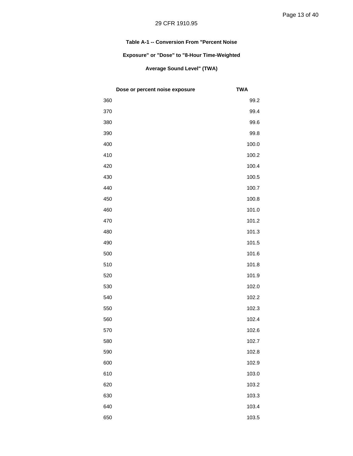#### **Table A-1 -- Conversion From "Percent Noise**

## **Exposure" or "Dose" to "8-Hour Time-Weighted**

| Dose or percent noise exposure | <b>TWA</b> |
|--------------------------------|------------|
| 360                            | 99.2       |
| 370                            | 99.4       |
| 380                            | 99.6       |
| 390                            | 99.8       |
| 400                            | 100.0      |
| 410                            | 100.2      |
| 420                            | 100.4      |
| 430                            | 100.5      |
| 440                            | 100.7      |
| 450                            | 100.8      |
| 460                            | 101.0      |
| 470                            | 101.2      |
| 480                            | 101.3      |
| 490                            | 101.5      |
| 500                            | 101.6      |
| 510                            | 101.8      |
| 520                            | 101.9      |
| 530                            | 102.0      |
| 540                            | 102.2      |
| 550                            | 102.3      |
| 560                            | 102.4      |
| 570                            | 102.6      |
| 580                            | 102.7      |
| 590                            | 102.8      |
| 600                            | 102.9      |
| 610                            | 103.0      |
| 620                            | 103.2      |
| 630                            | 103.3      |
| 640                            | 103.4      |
| 650                            | 103.5      |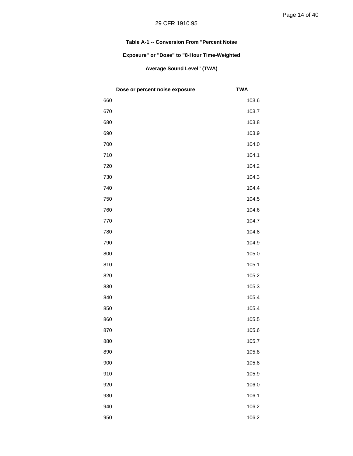## **Table A-1 -- Conversion From "Percent Noise**

## **Exposure" or "Dose" to "8-Hour Time-Weighted**

| Dose or percent noise exposure | <b>TWA</b> |
|--------------------------------|------------|
| 660                            | 103.6      |
| 670                            | 103.7      |
| 680                            | 103.8      |
| 690                            | 103.9      |
| 700                            | 104.0      |
| 710                            | 104.1      |
| 720                            | 104.2      |
| 730                            | 104.3      |
| 740                            | 104.4      |
| 750                            | 104.5      |
| 760                            | 104.6      |
| 770                            | 104.7      |
| 780                            | 104.8      |
| 790                            | 104.9      |
| 800                            | 105.0      |
| 810                            | 105.1      |
| 820                            | 105.2      |
| 830                            | 105.3      |
| 840                            | 105.4      |
| 850                            | 105.4      |
| 860                            | 105.5      |
| 870                            | 105.6      |
| 880                            | 105.7      |
| 890                            | 105.8      |
| 900                            | 105.8      |
| 910                            | 105.9      |
| 920                            | 106.0      |
| 930                            | 106.1      |
| 940                            | 106.2      |
| 950                            | 106.2      |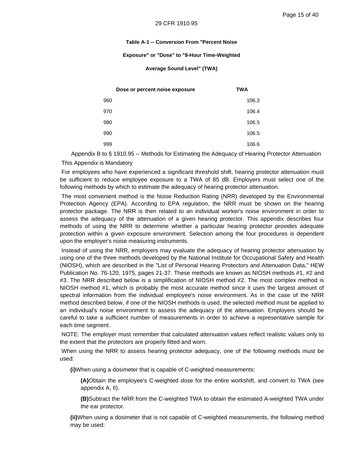#### **Table A-1 -- Conversion From "Percent Noise**

#### **Exposure" or "Dose" to "8-Hour Time-Weighted**

#### **Average Sound Level" (TWA)**

|     | Dose or percent noise exposure | <b>TWA</b> |
|-----|--------------------------------|------------|
| 960 |                                | 106.3      |
| 970 |                                | 106.4      |
| 980 |                                | 106.5      |
| 990 |                                | 106.5      |
| 999 |                                | 106.6      |

Appendix B to § 1910.95 -- Methods for Estimating the Adequacy of Hearing Protector Attenuation

This Appendix is Mandatory

 For employees who have experienced a significant threshold shift, hearing protector attenuation must be sufficient to reduce employee exposure to a TWA of 85 dB. Employers must select one of the following methods by which to estimate the adequacy of hearing protector attenuation.

 The most convenient method is the Noise Reduction Rating (NRR) developed by the Environmental Protection Agency (EPA). According to EPA regulation, the NRR must be shown on the hearing protector package. The NRR is then related to an individual worker's noise environment in order to assess the adequacy of the attenuation of a given hearing protector. This appendix describes four methods of using the NRR to determine whether a particular hearing protector provides adequate protection within a given exposure environment. Selection among the four procedures is dependent upon the employer's noise measuring instruments.

 Instead of using the NRR, employers may evaluate the adequacy of hearing protector attenuation by using one of the three methods developed by the National Institute for Occupational Safety and Health (NIOSH), which are described in the "List of Personal Hearing Protectors and Attenuation Data," HEW Publication No. 76-120, 1975, pages 21-37. These methods are known as NIOSH methods #1, #2 and #3. The NRR described below is a simplification of NIOSH method #2. The most complex method is NIOSH method #1, which is probably the most accurate method since it uses the largest amount of spectral information from the individual employee's noise environment. As in the case of the NRR method described below, if one of the NIOSH methods is used, the selected method must be applied to an individual's noise environment to assess the adequacy of the attenuation. Employers should be careful to take a sufficient number of measurements in order to achieve a representative sample for each time segment.

 NOTE: The employer must remember that calculated attenuation values reflect realistic values only to the extent that the protectors are properly fitted and worn.

 When using the NRR to assess hearing protector adequacy, one of the following methods must be used:

**(i)**When using a dosimeter that is capable of C-weighted measurements:

**(A)**Obtain the employee's C-weighted dose for the entire workshift, and convert to TWA (see appendix A, II).

**(B)**Subtract the NRR from the C-weighted TWA to obtain the estimated A-weighted TWA under the ear protector.

**(ii)**When using a dosimeter that is not capable of C-weighted measurements, the following method may be used: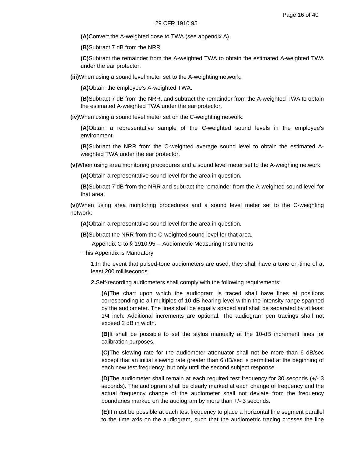**(A)**Convert the A-weighted dose to TWA (see appendix A).

**(B)**Subtract 7 dB from the NRR.

**(C)**Subtract the remainder from the A-weighted TWA to obtain the estimated A-weighted TWA under the ear protector.

**(iii)**When using a sound level meter set to the A-weighting network:

**(A)**Obtain the employee's A-weighted TWA.

**(B)**Subtract 7 dB from the NRR, and subtract the remainder from the A-weighted TWA to obtain the estimated A-weighted TWA under the ear protector.

**(iv)**When using a sound level meter set on the C-weighting network:

**(A)**Obtain a representative sample of the C-weighted sound levels in the employee's environment.

**(B)**Subtract the NRR from the C-weighted average sound level to obtain the estimated Aweighted TWA under the ear protector.

**(v)**When using area monitoring procedures and a sound level meter set to the A-weighing network.

**(A)**Obtain a representative sound level for the area in question.

**(B)**Subtract 7 dB from the NRR and subtract the remainder from the A-weighted sound level for that area.

**(vi)**When using area monitoring procedures and a sound level meter set to the C-weighting network:

**(A)**Obtain a representative sound level for the area in question.

**(B)**Subtract the NRR from the C-weighted sound level for that area.

Appendix C to § 1910.95 -- Audiometric Measuring Instruments

This Appendix is Mandatory

**1.**In the event that pulsed-tone audiometers are used, they shall have a tone on-time of at least 200 milliseconds.

**2.**Self-recording audiometers shall comply with the following requirements:

**(A)**The chart upon which the audiogram is traced shall have lines at positions corresponding to all multiples of 10 dB hearing level within the intensity range spanned by the audiometer. The lines shall be equally spaced and shall be separated by at least 1/4 inch. Additional increments are optional. The audiogram pen tracings shall not exceed 2 dB in width.

**(B)**It shall be possible to set the stylus manually at the 10-dB increment lines for calibration purposes.

**(C)**The slewing rate for the audiometer attenuator shall not be more than 6 dB/sec except that an initial slewing rate greater than 6 dB/sec is permitted at the beginning of each new test frequency, but only until the second subject response.

**(D)**The audiometer shall remain at each required test frequency for 30 seconds (+/- 3 seconds). The audiogram shall be clearly marked at each change of frequency and the actual frequency change of the audiometer shall not deviate from the frequency boundaries marked on the audiogram by more than +/- 3 seconds.

**(E)**It must be possible at each test frequency to place a horizontal line segment parallel to the time axis on the audiogram, such that the audiometric tracing crosses the line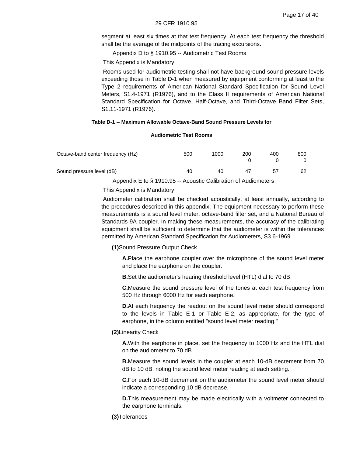segment at least six times at that test frequency. At each test frequency the threshold shall be the average of the midpoints of the tracing excursions.

Appendix D to § 1910.95 -- Audiometric Test Rooms

This Appendix is Mandatory

 Rooms used for audiometric testing shall not have background sound pressure levels exceeding those in Table D-1 when measured by equipment conforming at least to the Type 2 requirements of American National Standard Specification for Sound Level Meters, S1.4-1971 (R1976), and to the Class II requirements of American National Standard Specification for Octave, Half-Octave, and Third-Octave Band Filter Sets, S1.11-1971 (R1976).

#### **Table D-1 -- Maximum Allowable Octave-Band Sound Pressure Levels for**

#### **Audiometric Test Rooms**

| Octave-band center frequency (Hz) | 500 | 1000 | 200 | 400 | 800<br>$\Omega$ |
|-----------------------------------|-----|------|-----|-----|-----------------|
| Sound pressure level (dB)         | 40  | 40   | 47  | 57  | 62              |

Appendix E to § 1910.95 -- Acoustic Calibration of Audiometers

This Appendix is Mandatory

 Audiometer calibration shall be checked acoustically, at least annually, according to the procedures described in this appendix. The equipment necessary to perform these measurements is a sound level meter, octave-band filter set, and a National Bureau of Standards 9A coupler. In making these measurements, the accuracy of the calibrating equipment shall be sufficient to determine that the audiometer is within the tolerances permitted by American Standard Specification for Audiometers, S3.6-1969.

**(1)**Sound Pressure Output Check

**A.**Place the earphone coupler over the microphone of the sound level meter and place the earphone on the coupler.

**B.**Set the audiometer's hearing threshold level (HTL) dial to 70 dB.

**C.**Measure the sound pressure level of the tones at each test frequency from 500 Hz through 6000 Hz for each earphone.

**D.**At each frequency the readout on the sound level meter should correspond to the levels in Table E-1 or Table E-2, as appropriate, for the type of earphone, in the column entitled "sound level meter reading."

**(2)**Linearity Check

**A.**With the earphone in place, set the frequency to 1000 Hz and the HTL dial on the audiometer to 70 dB.

**B.**Measure the sound levels in the coupler at each 10-dB decrement from 70 dB to 10 dB, noting the sound level meter reading at each setting.

**C.**For each 10-dB decrement on the audiometer the sound level meter should indicate a corresponding 10 dB decrease.

**D.**This measurement may be made electrically with a voltmeter connected to the earphone terminals.

**(3)**Tolerances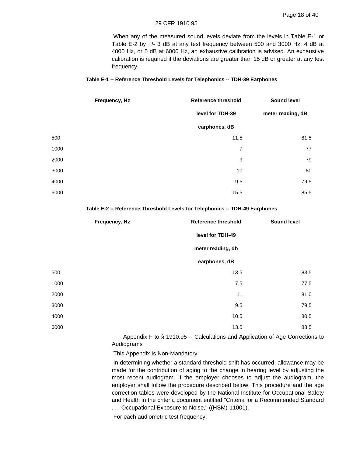When any of the measured sound levels deviate from the levels in Table E-1 or Table E-2 by +/- 3 dB at any test frequency between 500 and 3000 Hz, 4 dB at 4000 Hz, or 5 dB at 6000 Hz, an exhaustive calibration is advised. An exhaustive calibration is required if the deviations are greater than 15 dB or greater at any test frequency.

#### **Table E-1 -- Reference Threshold Levels for Telephonics -- TDH-39 Earphones**

|      | Frequency, Hz | <b>Reference threshold</b> | <b>Sound level</b> |
|------|---------------|----------------------------|--------------------|
|      |               | level for TDH-39           | meter reading, dB  |
|      |               | earphones, dB              |                    |
| 500  |               | 11.5                       | 81.5               |
| 1000 |               | 7                          | 77                 |
| 2000 |               | 9                          | 79                 |
| 3000 |               | 10                         | 80                 |
| 4000 |               | 9.5                        | 79.5               |
| 6000 |               | 15.5                       | 85.5               |

#### **Table E-2 -- Reference Threshold Levels for Telephonics -- TDH-49 Earphones**

| level for TDH-49<br>meter reading, db<br>earphones, dB<br>500<br>13.5 |      |
|-----------------------------------------------------------------------|------|
|                                                                       |      |
|                                                                       |      |
|                                                                       |      |
|                                                                       | 83.5 |
| 1000<br>7.5                                                           | 77.5 |
| 2000<br>11                                                            | 81.0 |
| 3000<br>9.5                                                           | 79.5 |
| 4000<br>10.5                                                          | 80.5 |
| 6000<br>13.5                                                          | 83.5 |

 Appendix F to § 1910.95 -- Calculations and Application of Age Corrections to Audiograms

#### This Appendix Is Non-Mandatory

 In determining whether a standard threshold shift has occurred, allowance may be made for the contribution of aging to the change in hearing level by adjusting the most recent audiogram. If the employer chooses to adjust the audiogram, the employer shall follow the procedure described below. This procedure and the age correction tables were developed by the National Institute for Occupational Safety and Health in the criteria document entitled "Criteria for a Recommended Standard . . . Occupational Exposure to Noise," ((HSM)-11001).

For each audiometric test frequency;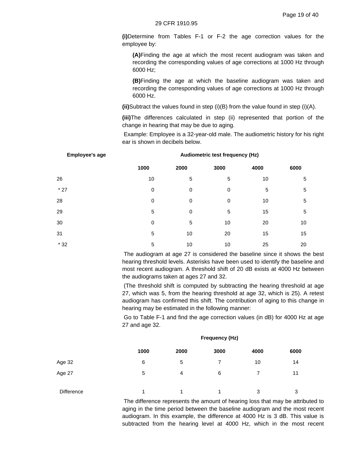**(i)**Determine from Tables F-1 or F-2 the age correction values for the employee by:

**(A)**Finding the age at which the most recent audiogram was taken and recording the corresponding values of age corrections at 1000 Hz through 6000 Hz;

**(B)**Finding the age at which the baseline audiogram was taken and recording the corresponding values of age corrections at 1000 Hz through 6000 Hz.

**(ii)**Subtract the values found in step (i)(B) from the value found in step (i)(A).

**(iii)**The differences calculated in step (ii) represented that portion of the change in hearing that may be due to aging.

 Example: Employee is a 32-year-old male. The audiometric history for his right ear is shown in decibels below.

| <b>Employee's age</b> | Audiometric test frequency (Hz) |      |          |      |      |
|-----------------------|---------------------------------|------|----------|------|------|
|                       | 1000                            | 2000 | 3000     | 4000 | 6000 |
| 26                    | 10                              | 5    | 5        | 10   | 5    |
| $*27$                 | 0                               | 0    | 0        | 5    | 5    |
| 28                    | 0                               | 0    | $\Omega$ | 10   | 5    |
| 29                    | 5                               | 0    | 5        | 15   | 5    |
| 30                    | $\mathbf 0$                     | 5    | 10       | 20   | 10   |
| 31                    | 5                               | 10   | 20       | 15   | 15   |
| $*32$                 | 5                               | 10   | 10       | 25   | 20   |
|                       |                                 |      |          |      |      |

 The audiogram at age 27 is considered the baseline since it shows the best hearing threshold levels. Asterisks have been used to identify the baseline and most recent audiogram. A threshold shift of 20 dB exists at 4000 Hz between the audiograms taken at ages 27 and 32.

 (The threshold shift is computed by subtracting the hearing threshold at age 27, which was 5, from the hearing threshold at age 32, which is 25). A retest audiogram has confirmed this shift. The contribution of aging to this change in hearing may be estimated in the following manner:

 Go to Table F-1 and find the age correction values (in dB) for 4000 Hz at age 27 and age 32.

|            | <b>Frequency (Hz)</b> |                |                |      |      |
|------------|-----------------------|----------------|----------------|------|------|
|            | 1000                  | 2000           | 3000           | 4000 | 6000 |
| Age 32     | 6                     | 5              |                | 10   | 14   |
| Age 27     | 5                     | $\overline{4}$ | 6              | 7    | 11   |
| Difference | 1                     | 4              | $\overline{ }$ | 3    | 3    |

 The difference represents the amount of hearing loss that may be attributed to aging in the time period between the baseline audiogram and the most recent audiogram. In this example, the difference at 4000 Hz is 3 dB. This value is subtracted from the hearing level at 4000 Hz, which in the most recent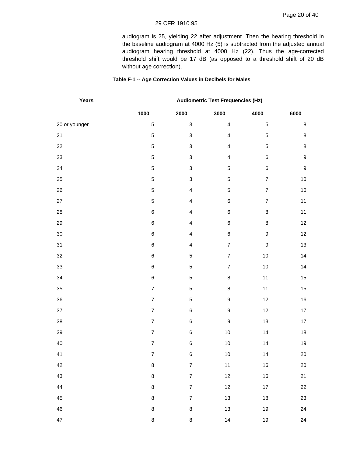audiogram is 25, yielding 22 after adjustment. Then the hearing threshold in the baseline audiogram at 4000 Hz (5) is subtracted from the adjusted annual audiogram hearing threshold at 4000 Hz (22). Thus the age-corrected threshold shift would be 17 dB (as opposed to a threshold shift of 20 dB without age correction).

#### **Table F-1 -- Age Correction Values in Decibels for Males**

| Years         | <b>Audiometric Test Frequencies (Hz)</b> |                           |                         |                  |                  |  |
|---------------|------------------------------------------|---------------------------|-------------------------|------------------|------------------|--|
|               | 1000                                     | 2000                      | 3000                    | 4000             | 6000             |  |
| 20 or younger | $\sqrt{5}$                               | $\ensuremath{\mathsf{3}}$ | $\overline{\mathbf{4}}$ | $\sqrt{5}$       | 8                |  |
| 21            | $\,$ 5 $\,$                              | $\ensuremath{\mathsf{3}}$ | $\overline{\mathbf{4}}$ | $\mathbf 5$      | $\bf 8$          |  |
| 22            | $\sqrt{5}$                               | $\ensuremath{\mathsf{3}}$ | $\overline{\mathbf{4}}$ | $\mathbf 5$      | $\bf 8$          |  |
| 23            | $\mathbf 5$                              | $\ensuremath{\mathsf{3}}$ | $\overline{\mathbf{4}}$ | $\,6$            | $\boldsymbol{9}$ |  |
| 24            | $\mathbf 5$                              | $\ensuremath{\mathsf{3}}$ | $\mathbf 5$             | $\,6\,$          | $\boldsymbol{9}$ |  |
| 25            | $\sqrt{5}$                               | $\ensuremath{\mathsf{3}}$ | $\sqrt{5}$              | $\boldsymbol{7}$ | $10\,$           |  |
| 26            | $\mathbf 5$                              | $\overline{\mathbf{4}}$   | $\mathbf 5$             | $\boldsymbol{7}$ | $10\,$           |  |
| 27            | $\,$ 5 $\,$                              | $\overline{\mathbf{4}}$   | 6                       | $\boldsymbol{7}$ | 11               |  |
| 28            | $\,6$                                    | $\overline{\mathbf{4}}$   | 6                       | $\,$ 8 $\,$      | 11               |  |
| 29            | $\,6$                                    | $\overline{4}$            | $\,6$                   | $\bf8$           | 12               |  |
| 30            | $\,6$                                    | $\overline{4}$            | $\,6$                   | $\boldsymbol{9}$ | 12               |  |
| 31            | $\,6$                                    | $\overline{4}$            | $\boldsymbol{7}$        | $\boldsymbol{9}$ | 13               |  |
| 32            | $\,6$                                    | $\mathbf 5$               | $\overline{7}$          | 10               | $14$             |  |
| 33            | $\,6$                                    | $\mathbf 5$               | $\overline{7}$          | 10               | $14$             |  |
| 34            | $\,6\,$                                  | $\,$ 5 $\,$               | 8                       | 11               | 15               |  |
| 35            | $\boldsymbol{7}$                         | $\mathbf 5$               | $\bf8$                  | 11               | $15\,$           |  |
| 36            | $\overline{7}$                           | $\mathbf 5$               | $\boldsymbol{9}$        | 12               | $16\,$           |  |
| 37            | $\boldsymbol{7}$                         | $\,6$                     | $\boldsymbol{9}$        | 12               | $17\,$           |  |
| 38            | $\boldsymbol{7}$                         | $\,6$                     | $\boldsymbol{9}$        | 13               | 17               |  |
| 39            | $\boldsymbol{7}$                         | $\,6$                     | $10\,$                  | 14               | $18\,$           |  |
| 40            | $\boldsymbol{7}$                         | $\,6$                     | $10$                    | 14               | 19               |  |
| 41            | $\overline{7}$                           | $\,6$                     | $10\,$                  | 14               | $20\,$           |  |
| 42            | $\bf 8$                                  | $\boldsymbol{7}$          | 11                      | 16               | 20               |  |
| 43            | $\bf 8$                                  | $\boldsymbol{7}$          | 12                      | 16               | 21               |  |
| 44            | $\bf 8$                                  | $\boldsymbol{7}$          | 12                      | 17               | 22               |  |
| 45            | $\bf 8$                                  | $\boldsymbol{7}$          | 13                      | 18               | 23               |  |
| 46            | $\bf 8$                                  | $\bf 8$                   | 13                      | 19               | 24               |  |
| 47            | $\bf 8$                                  | $\bf 8$                   | 14                      | 19               | 24               |  |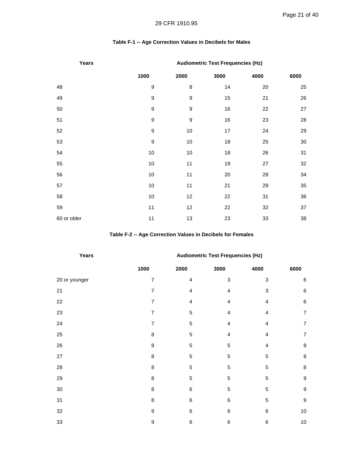| Years       | <b>Audiometric Test Frequencies (Hz)</b> |                  |      |        |        |
|-------------|------------------------------------------|------------------|------|--------|--------|
|             | 1000                                     | 2000             | 3000 | 4000   | 6000   |
| 48          | $\boldsymbol{9}$                         | 8                | 14   | $20\,$ | 25     |
| 49          | $\boldsymbol{9}$                         | 9                | 15   | 21     | 26     |
| 50          | 9                                        | $\boldsymbol{9}$ | 16   | 22     | 27     |
| 51          | 9                                        | $\boldsymbol{9}$ | 16   | 23     | 28     |
| 52          | 9                                        | $10$             | 17   | 24     | 29     |
| 53          | 9                                        | 10               | 18   | 25     | $30\,$ |
| 54          | $10$                                     | 10               | 18   | 26     | 31     |
| 55          | 10                                       | 11               | 19   | 27     | 32     |
| 56          | 10                                       | 11               | 20   | 28     | 34     |
| 57          | 10                                       | 11               | 21   | 29     | 35     |
| 58          | 10                                       | 12               | 22   | 31     | 36     |
| 59          | 11                                       | 12               | 22   | 32     | 37     |
| 60 or older | 11                                       | 13               | 23   | 33     | 38     |

## **Table F-1 -- Age Correction Values in Decibels for Males**

**Table F-2 -- Age Correction Values in Decibels for Females**

| Years         | <b>Audiometric Test Frequencies (Hz)</b> |             |                           |                           |                  |
|---------------|------------------------------------------|-------------|---------------------------|---------------------------|------------------|
|               | 1000                                     | 2000        | 3000                      | 4000                      | 6000             |
| 20 or younger | $\overline{7}$                           | 4           | $\ensuremath{\mathsf{3}}$ | $\mathbf 3$               | $\,6\,$          |
| 21            | $\overline{7}$                           | 4           | $\overline{\mathbf{4}}$   | $\ensuremath{\mathsf{3}}$ | $\,6$            |
| 22            | $\overline{7}$                           | 4           | $\overline{\mathbf{4}}$   | 4                         | $\,6\,$          |
| 23            | $\overline{7}$                           | 5           | $\overline{\mathbf{4}}$   | $\overline{\mathbf{4}}$   | $\overline{7}$   |
| 24            | $\overline{7}$                           | 5           | $\overline{\mathbf{4}}$   | 4                         | $\overline{7}$   |
| 25            | 8                                        | 5           | $\overline{\mathbf{4}}$   | 4                         | $\overline{7}$   |
| 26            | 8                                        | $\mathbf 5$ | 5                         | $\overline{\mathbf{4}}$   | $\bf 8$          |
| 27            | 8                                        | 5           | 5                         | 5                         | $\,8\,$          |
| 28            | 8                                        | 5           | 5                         | 5                         | $\bf 8$          |
| 29            | 8                                        | 5           | $\mathbf 5$               | 5                         | $\boldsymbol{9}$ |
| $30\,$        | 8                                        | $\,6$       | 5                         | 5                         | $\boldsymbol{9}$ |
| 31            | 8                                        | 6           | 6                         | $\mathbf 5$               | $\boldsymbol{9}$ |
| 32            | $\mathsf g$                              | $\,6$       | 6                         | $\,6$                     | $10\,$           |
| 33            | $\boldsymbol{9}$                         | 6           | 6                         | $\,6$                     | $10\,$           |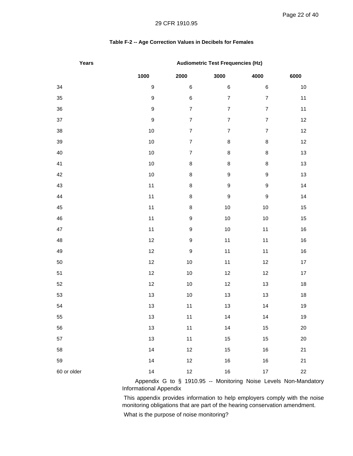| Table F-2 -- Age Correction Values in Decibels for Females |  |
|------------------------------------------------------------|--|
|                                                            |  |

| Years       | <b>Audiometric Test Frequencies (Hz)</b> |                  |                  |                  |        |
|-------------|------------------------------------------|------------------|------------------|------------------|--------|
|             | 1000                                     | 2000             | 3000             | 4000             | 6000   |
| 34          | $\boldsymbol{9}$                         | $\,6$            | $\,6\,$          | $\,6\,$          | $10$   |
| 35          | $\boldsymbol{9}$                         | 6                | $\boldsymbol{7}$ | $\overline{7}$   | 11     |
| 36          | $\boldsymbol{9}$                         | $\boldsymbol{7}$ | $\boldsymbol{7}$ | $\boldsymbol{7}$ | 11     |
| 37          | $\boldsymbol{9}$                         | $\boldsymbol{7}$ | $\boldsymbol{7}$ | $\boldsymbol{7}$ | 12     |
| 38          | $10$                                     | $\boldsymbol{7}$ | $\boldsymbol{7}$ | $\boldsymbol{7}$ | $12$   |
| 39          | $10$                                     | $\boldsymbol{7}$ | 8                | $\bf 8$          | 12     |
| 40          | $10$                                     | $\boldsymbol{7}$ | 8                | $\bf 8$          | 13     |
| 41          | $10$                                     | $\bf8$           | 8                | $\bf 8$          | 13     |
| 42          | 10                                       | $\bf8$           | $\boldsymbol{9}$ | $\boldsymbol{9}$ | 13     |
| 43          | 11                                       | $\bf8$           | $\boldsymbol{9}$ | $\boldsymbol{9}$ | 14     |
| 44          | 11                                       | 8                | $\boldsymbol{9}$ | $\boldsymbol{9}$ | 14     |
| 45          | 11                                       | $\bf8$           | $10$             | $10$             | 15     |
| 46          | 11                                       | $\boldsymbol{9}$ | $10$             | $10$             | 15     |
| 47          | 11                                       | $\boldsymbol{9}$ | $10$             | 11               | $16\,$ |
| 48          | 12                                       | $\boldsymbol{9}$ | 11               | 11               | 16     |
| 49          | 12                                       | $\boldsymbol{9}$ | 11               | 11               | $16\,$ |
| 50          | $12$                                     | $10$             | 11               | 12               | $17\,$ |
| 51          | 12                                       | $10$             | 12               | 12               | $17\,$ |
| 52          | 12                                       | $10$             | 12               | 13               | 18     |
| 53          | 13                                       | $10$             | 13               | 13               | 18     |
| 54          | 13                                       | 11               | 13               | 14               | $19$   |
| 55          | $13\,$                                   | 11               | 14               | 14               | $19$   |
| 56          | 13                                       | 11               | 14               | $15\,$           | 20     |
| 57          | 13                                       | 11               | 15               | 15               | 20     |
| 58          | 14                                       | 12               | 15               | 16               | 21     |
| 59          | 14                                       | 12               | $16\,$           | $16\,$           | 21     |
| 60 or older | 14                                       | 12               | $16\,$           | $17\,$           | 22     |

 Appendix G to § 1910.95 -- Monitoring Noise Levels Non-Mandatory Informational Appendix

 This appendix provides information to help employers comply with the noise monitoring obligations that are part of the hearing conservation amendment.

What is the purpose of noise monitoring?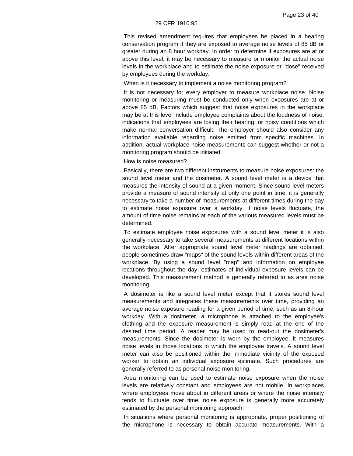This revised amendment requires that employees be placed in a hearing conservation program if they are exposed to average noise levels of 85 dB or greater during an 8 hour workday. In order to determine if exposures are at or above this level, it may be necessary to measure or monitor the actual noise levels in the workplace and to estimate the noise exposure or "dose" received by employees during the workday.

When is it necessary to implement a noise monitoring program?

 It is not necessary for every employer to measure workplace noise. Noise monitoring or measuring must be conducted only when exposures are at or above 85 dB. Factors which suggest that noise exposures in the workplace may be at this level include employee complaints about the loudness of noise, indications that employees are losing their hearing, or noisy conditions which make normal conversation difficult. The employer should also consider any information available regarding noise emitted from specific machines. In addition, actual workplace noise measurements can suggest whether or not a monitoring program should be initiated.

How is noise measured?

 Basically, there are two different instruments to measure noise exposures: the sound level meter and the dosimeter. A sound level meter is a device that measures the intensity of sound at a given moment. Since sound level meters provide a measure of sound intensity at only one point in time, it is generally necessary to take a number of measurements at different times during the day to estimate noise exposure over a workday. If noise levels fluctuate, the amount of time noise remains at each of the various measured levels must be determined.

 To estimate employee noise exposures with a sound level meter it is also generally necessary to take several measurements at different locations within the workplace. After appropriate sound level meter readings are obtained, people sometimes draw "maps" of the sound levels within different areas of the workplace. By using a sound level "map" and information on employee locations throughout the day, estimates of individual exposure levels can be developed. This measurement method is generally referred to as area noise monitoring.

 A dosimeter is like a sound level meter except that it stores sound level measurements and integrates these measurements over time, providing an average noise exposure reading for a given period of time, such as an 8-hour workday. With a dosimeter, a microphone is attached to the employee's clothing and the exposure measurement is simply read at the end of the desired time period. A reader may be used to read-out the dosimeter's measurements. Since the dosimeter is worn by the employee, it measures noise levels in those locations in which the employee travels. A sound level meter can also be positioned within the immediate vicinity of the exposed worker to obtain an individual exposure estimate. Such procedures are generally referred to as personal noise monitoring.

 Area monitoring can be used to estimate noise exposure when the noise levels are relatively constant and employees are not mobile. In workplaces where employees move about in different areas or where the noise intensity tends to fluctuate over time, noise exposure is generally more accurately estimated by the personal monitoring approach.

 In situations where personal monitoring is appropriate, proper positioning of the microphone is necessary to obtain accurate measurements. With a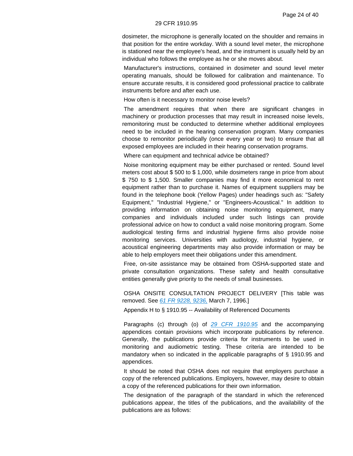dosimeter, the microphone is generally located on the shoulder and remains in that position for the entire workday. With a sound level meter, the microphone is stationed near the employee's head, and the instrument is usually held by an individual who follows the employee as he or she moves about.

 Manufacturer's instructions, contained in dosimeter and sound level meter operating manuals, should be followed for calibration and maintenance. To ensure accurate results, it is considered good professional practice to calibrate instruments before and after each use.

How often is it necessary to monitor noise levels?

 The amendment requires that when there are significant changes in machinery or production processes that may result in increased noise levels, remonitoring must be conducted to determine whether additional employees need to be included in the hearing conservation program. Many companies choose to remonitor periodically (once every year or two) to ensure that all exposed employees are included in their hearing conservation programs.

Where can equipment and technical advice be obtained?

 Noise monitoring equipment may be either purchased or rented. Sound level meters cost about \$ 500 to \$ 1,000, while dosimeters range in price from about \$ 750 to \$ 1,500. Smaller companies may find it more economical to rent equipment rather than to purchase it. Names of equipment suppliers may be found in the telephone book (Yellow Pages) under headings such as: "Safety Equipment," "Industrial Hygiene," or "Engineers-Acoustical." In addition to providing information on obtaining noise monitoring equipment, many companies and individuals included under such listings can provide professional advice on how to conduct a valid noise monitoring program. Some audiological testing firms and industrial hygiene firms also provide noise monitoring services. Universities with audiology, industrial hygiene, or acoustical engineering departments may also provide information or may be able to help employers meet their obligations under this amendment.

 Free, on-site assistance may be obtained from OSHA-supported state and private consultation organizations. These safety and health consultative entities generally give priority to the needs of small businesses.

 OSHA ONSITE CONSULTATION PROJECT DELIVERY [This table was removed. See [61 FR 9228, 9236,](https://advance.lexis.com/api/document?collection=administrative-codes&id=urn:contentItem:3SHC-1KX0-006W-93KT-00000-00&context=) March 7, 1996.]

Appendix H to § 1910.95 -- Availability of Referenced Documents

 Paragraphs (c) through (o) of [29 CFR 1910.95](https://advance.lexis.com/api/document?collection=administrative-codes&id=urn:contentItem:5GFW-1YC0-008H-03R7-00000-00&context=) and the accompanying appendices contain provisions which incorporate publications by reference. Generally, the publications provide criteria for instruments to be used in monitoring and audiometric testing. These criteria are intended to be mandatory when so indicated in the applicable paragraphs of § 1910.95 and appendices.

 It should be noted that OSHA does not require that employers purchase a copy of the referenced publications. Employers, however, may desire to obtain a copy of the referenced publications for their own information.

 The designation of the paragraph of the standard in which the referenced publications appear, the titles of the publications, and the availability of the publications are as follows: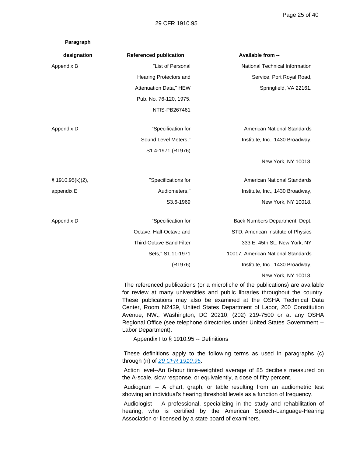| Paragraph        |                                                                                                                                                                                                                                                                                                                                                                                                                                                                                                                                                                                                                                              |                                       |  |  |
|------------------|----------------------------------------------------------------------------------------------------------------------------------------------------------------------------------------------------------------------------------------------------------------------------------------------------------------------------------------------------------------------------------------------------------------------------------------------------------------------------------------------------------------------------------------------------------------------------------------------------------------------------------------------|---------------------------------------|--|--|
| designation      | <b>Referenced publication</b>                                                                                                                                                                                                                                                                                                                                                                                                                                                                                                                                                                                                                | Available from --                     |  |  |
| Appendix B       | "List of Personal                                                                                                                                                                                                                                                                                                                                                                                                                                                                                                                                                                                                                            | <b>National Technical Information</b> |  |  |
|                  | Hearing Protectors and                                                                                                                                                                                                                                                                                                                                                                                                                                                                                                                                                                                                                       | Service, Port Royal Road,             |  |  |
|                  | Attenuation Data," HEW                                                                                                                                                                                                                                                                                                                                                                                                                                                                                                                                                                                                                       | Springfield, VA 22161.                |  |  |
|                  | Pub. No. 76-120, 1975.                                                                                                                                                                                                                                                                                                                                                                                                                                                                                                                                                                                                                       |                                       |  |  |
|                  | NTIS-PB267461                                                                                                                                                                                                                                                                                                                                                                                                                                                                                                                                                                                                                                |                                       |  |  |
| Appendix D       | "Specification for                                                                                                                                                                                                                                                                                                                                                                                                                                                                                                                                                                                                                           | <b>American National Standards</b>    |  |  |
|                  | Sound Level Meters,"                                                                                                                                                                                                                                                                                                                                                                                                                                                                                                                                                                                                                         | Institute, Inc., 1430 Broadway,       |  |  |
|                  | S1.4-1971 (R1976)                                                                                                                                                                                                                                                                                                                                                                                                                                                                                                                                                                                                                            |                                       |  |  |
|                  |                                                                                                                                                                                                                                                                                                                                                                                                                                                                                                                                                                                                                                              | New York, NY 10018.                   |  |  |
| § 1910.95(k)(2), | "Specifications for                                                                                                                                                                                                                                                                                                                                                                                                                                                                                                                                                                                                                          | <b>American National Standards</b>    |  |  |
| appendix E       | Audiometers,"                                                                                                                                                                                                                                                                                                                                                                                                                                                                                                                                                                                                                                | Institute, Inc., 1430 Broadway,       |  |  |
|                  | S3.6-1969                                                                                                                                                                                                                                                                                                                                                                                                                                                                                                                                                                                                                                    | New York, NY 10018.                   |  |  |
| Appendix D       | "Specification for                                                                                                                                                                                                                                                                                                                                                                                                                                                                                                                                                                                                                           | Back Numbers Department, Dept.        |  |  |
|                  | Octave, Half-Octave and                                                                                                                                                                                                                                                                                                                                                                                                                                                                                                                                                                                                                      | STD, American Institute of Physics    |  |  |
|                  | Third-Octave Band Filter                                                                                                                                                                                                                                                                                                                                                                                                                                                                                                                                                                                                                     | 333 E. 45th St., New York, NY         |  |  |
|                  | Sets," S1.11-1971                                                                                                                                                                                                                                                                                                                                                                                                                                                                                                                                                                                                                            | 10017; American National Standards    |  |  |
|                  | (R1976)                                                                                                                                                                                                                                                                                                                                                                                                                                                                                                                                                                                                                                      | Institute, Inc., 1430 Broadway,       |  |  |
|                  |                                                                                                                                                                                                                                                                                                                                                                                                                                                                                                                                                                                                                                              | New York, NY 10018.                   |  |  |
|                  | The referenced publications (or a microfiche of the publications) are available<br>for review at many universities and public libraries throughout the country.<br>These publications may also be examined at the OSHA Technical Data<br>Center, Room N2439, United States Department of Labor, 200 Constitution<br>Avenue, NW., Washington, DC 20210, (202) 219-7500 or at any OSHA<br>Regional Office (see telephone directories under United States Government --<br>Labor Department).                                                                                                                                                   |                                       |  |  |
|                  | Appendix I to § 1910.95 -- Definitions                                                                                                                                                                                                                                                                                                                                                                                                                                                                                                                                                                                                       |                                       |  |  |
|                  | These definitions apply to the following terms as used in paragraphs (c)<br>through (n) of 29 CFR 1910.95.<br>Action level--An 8-hour time-weighted average of 85 decibels measured on<br>the A-scale, slow response, or equivalently, a dose of fifty percent.<br>Audiogram -- A chart, graph, or table resulting from an audiometric test<br>showing an individual's hearing threshold levels as a function of frequency.<br>Audiologist -- A professional, specializing in the study and rehabilitation of<br>hearing, who is certified by the American Speech-Language-Hearing<br>Association or licensed by a state board of examiners. |                                       |  |  |
|                  |                                                                                                                                                                                                                                                                                                                                                                                                                                                                                                                                                                                                                                              |                                       |  |  |
|                  |                                                                                                                                                                                                                                                                                                                                                                                                                                                                                                                                                                                                                                              |                                       |  |  |
|                  |                                                                                                                                                                                                                                                                                                                                                                                                                                                                                                                                                                                                                                              |                                       |  |  |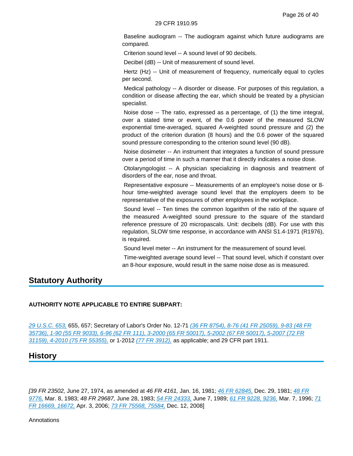Baseline audiogram -- The audiogram against which future audiograms are compared.

Criterion sound level -- A sound level of 90 decibels.

Decibel (dB) -- Unit of measurement of sound level.

 Hertz (Hz) -- Unit of measurement of frequency, numerically equal to cycles per second.

 Medical pathology -- A disorder or disease. For purposes of this regulation, a condition or disease affecting the ear, which should be treated by a physician specialist.

 Noise dose -- The ratio, expressed as a percentage, of (1) the time integral, over a stated time or event, of the 0.6 power of the measured SLOW exponential time-averaged, squared A-weighted sound pressure and (2) the product of the criterion duration (8 hours) and the 0.6 power of the squared sound pressure corresponding to the criterion sound level (90 dB).

 Noise dosimeter -- An instrument that integrates a function of sound pressure over a period of time in such a manner that it directly indicates a noise dose.

 Otolaryngologist -- A physician specializing in diagnosis and treatment of disorders of the ear, nose and throat.

 Representative exposure -- Measurements of an employee's noise dose or 8 hour time-weighted average sound level that the employers deem to be representative of the exposures of other employees in the workplace.

 Sound level -- Ten times the common logarithm of the ratio of the square of the measured A-weighted sound pressure to the square of the standard reference pressure of 20 micropascals. Unit: decibels (dB). For use with this regulation, SLOW time response, in accordance with ANSI S1.4-1971 (R1976), is required.

Sound level meter -- An instrument for the measurement of sound level.

 Time-weighted average sound level -- That sound level, which if constant over an 8-hour exposure, would result in the same noise dose as is measured.

## **Statutory Authority**

## **AUTHORITY NOTE APPLICABLE TO ENTIRE SUBPART:**

[29 U.S.C. 653,](https://advance.lexis.com/api/document?collection=statutes-legislation&id=urn:contentItem:4YF7-GW91-NRF4-44K6-00000-00&context=) 655, 657; Secretary of Labor's Order No. 12-71 (36 FR 8754), 8-76 (41 FR 25059), 9-83 (48 FR [35736\), 1-90 \(55 FR 9033\), 6-96 \(62 FR 111\), 3-2000 \(65 FR 50017\), 5-2002 \(67 FR 50017\), 5-2007 \(72 FR](https://advance.lexis.com/api/document?collection=administrative-codes&id=urn:contentItem:523N-9690-00H6-R1BX-00000-00&context=)  [31159\), 4-2010 \(75 FR 55355\),](https://advance.lexis.com/api/document?collection=administrative-codes&id=urn:contentItem:523N-9690-00H6-R1BX-00000-00&context=) or 1-2012 [\(77 FR 3912\),](https://advance.lexis.com/api/document?collection=administrative-codes&id=urn:contentItem:54T9-V3S0-006W-830Y-00000-00&context=) as applicable; and 29 CFR part 1911.

## **History**

[39 FR 23502, June 27, 1974, as amended at 46 FR 4161, Jan. 16, 1981; [46 FR 62845,](https://advance.lexis.com/api/document?collection=administrative-codes&id=urn:contentItem:3SD4-29C0-000N-045F-00000-00&context=) Dec. 29, 1981; 48 FR [9776,](https://advance.lexis.com/api/document?collection=administrative-codes&id=urn:contentItem:3SD3-X8D0-0011-V4HM-00000-00&context=) Mar. 8, 1983; 48 FR 29687, June 28, 1983; [54 FR 24333,](https://advance.lexis.com/api/document?collection=administrative-codes&id=urn:contentItem:3SDR-TG50-001J-X0W5-00000-00&context=) June 7, 1989; [61 FR 9228, 9236,](https://advance.lexis.com/api/document?collection=administrative-codes&id=urn:contentItem:3SHC-1KX0-006W-93KT-00000-00&context=) Mar. 7, 1996; 71 [FR 16669, 16672,](https://advance.lexis.com/api/document?collection=administrative-codes&id=urn:contentItem:4JM5-K2B0-006W-84JC-00000-00&context=) Apr. 3, 2006; [73 FR 75568, 75584,](https://advance.lexis.com/api/document?collection=administrative-codes&id=urn:contentItem:4V4F-97K0-006W-83FJ-00000-00&context=) Dec. 12, 2008]

Annotations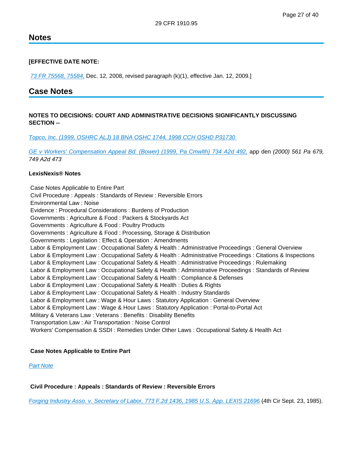## **Notes**

#### **[EFFECTIVE DATE NOTE:**

[73 FR 75568, 75584,](https://advance.lexis.com/api/document?collection=administrative-codes&id=urn:contentItem:4V4F-97K0-006W-83FJ-00000-00&context=) Dec. 12, 2008, revised paragraph (k)(1), effective Jan. 12, 2009.]

## **Case Notes**

## **NOTES TO DECISIONS: COURT AND ADMINISTRATIVE DECISIONS SIGNIFICANTLY DISCUSSING SECTION --**

#### [Topco, Inc. \(1999, OSHRC ALJ\) 18 BNA OSHC 1744, 1998 CCH OSHD P31730](https://advance.lexis.com/api/document?collection=administrative-materials&id=urn:contentItem:3WFD-H6C0-001T-N033-00000-00&context=)

[GE v Workers' Compensation Appeal Bd. \(Bower\) \(1999, Pa Cmwlth\) 734 A2d 492,](https://advance.lexis.com/api/document?collection=cases&id=urn:contentItem:3X1X-DJ80-0039-4337-00000-00&context=) app den (2000) 561 Pa 679, 749 A2d 473

#### **LexisNexis® Notes**

 Case Notes Applicable to Entire Part Civil Procedure : Appeals : Standards of Review : Reversible Errors Environmental Law : Noise Evidence : Procedural Considerations : Burdens of Production Governments : Agriculture & Food : Packers & Stockyards Act Governments : Agriculture & Food : Poultry Products Governments : Agriculture & Food : Processing, Storage & Distribution Governments : Legislation : Effect & Operation : Amendments Labor & Employment Law : Occupational Safety & Health : Administrative Proceedings : General Overview Labor & Employment Law : Occupational Safety & Health : Administrative Proceedings : Citations & Inspections Labor & Employment Law : Occupational Safety & Health : Administrative Proceedings : Rulemaking Labor & Employment Law : Occupational Safety & Health : Administrative Proceedings : Standards of Review Labor & Employment Law : Occupational Safety & Health : Compliance & Defenses Labor & Employment Law : Occupational Safety & Health : Duties & Rights Labor & Employment Law : Occupational Safety & Health : Industry Standards Labor & Employment Law : Wage & Hour Laws : Statutory Application : General Overview Labor & Employment Law : Wage & Hour Laws : Statutory Application : Portal-to-Portal Act Military & Veterans Law : Veterans : Benefits : Disability Benefits Transportation Law : Air Transportation : Noise Control Workers' Compensation & SSDI : Remedies Under Other Laws : Occupational Safety & Health Act

#### **Case Notes Applicable to Entire Part**

#### [Part Note](https://advance.lexis.com/api/document?collection=administrative-codes&id=urn:contentItem:5N7S-R4P0-008H-01Y9-00000-00&context=)

#### **Civil Procedure : Appeals : Standards of Review : Reversible Errors**

[Forging Industry Asso. v. Secretary of Labor, 773 F.2d 1436, 1985 U.S. App. LEXIS 21696](https://advance.lexis.com/api/document?collection=cases&id=urn:contentItem:3S4X-DS90-0039-P4XH-00000-00&context=) (4th Cir Sept. 23, 1985).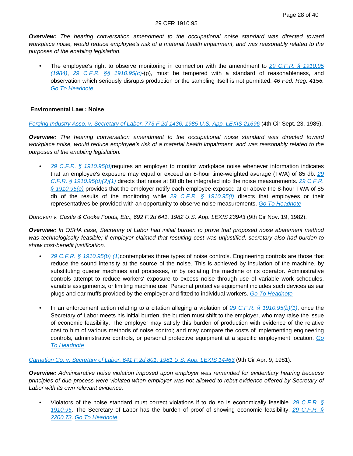**Overview:** The hearing conversation amendment to the occupational noise standard was directed toward workplace noise, would reduce employee's risk of a material health impairment, and was reasonably related to the purposes of the enabling legislation.

The employee's right to observe monitoring in connection with the amendment to 29 C.F.R.  $\S$  1910.95  $(1984)$ , [29 C.F.R. §§ 1910.95\(c\)](https://advance.lexis.com/api/document?collection=administrative-codes&id=urn:contentItem:5GFW-1YC0-008H-03R7-00000-00&context=)-(p), must be tempered with a standard of reasonableness, and observation which seriously disrupts production or the sampling itself is not permitted. 46 Fed. Reg. 4156. [Go To Headnote](https://advance.lexis.com/api/document?collection=cases&id=urn:contentItem:3S4X-DS90-0039-P4XH-00000-00&context=)

## **Environmental Law : Noise**

[Forging Industry Asso. v. Secretary of Labor, 773 F.2d 1436, 1985 U.S. App. LEXIS 21696](https://advance.lexis.com/api/document?collection=cases&id=urn:contentItem:3S4X-DS90-0039-P4XH-00000-00&context=) (4th Cir Sept. 23, 1985).

**Overview:** The hearing conversation amendment to the occupational noise standard was directed toward workplace noise, would reduce employee's risk of a material health impairment, and was reasonably related to the purposes of the enabling legislation.

• 29 C.F.R.  $\S$  1910.95(d) requires an employer to monitor workplace noise whenever information indicates that an employee's exposure may equal or exceed an 8-hour time-weighted average (TWA) of 85 db. [29](https://advance.lexis.com/api/document?collection=administrative-codes&id=urn:contentItem:5GFW-1YC0-008H-03R7-00000-00&context=)  [C.F.R. § 1910.95\(d\)\(2\)\(1\)](https://advance.lexis.com/api/document?collection=administrative-codes&id=urn:contentItem:5GFW-1YC0-008H-03R7-00000-00&context=) directs that noise at 80 db be integrated into the noise measurements. 29 C.F.R.  $\S$  1910.95(e) provides that the employer notify each employee exposed at or above the 8-hour TWA of 85 db of the results of the monitoring while  $29$  C.F.R. § 1910.95(f) directs that employees or their representatives be provided with an opportunity to observe noise measurements. [Go To Headnote](https://advance.lexis.com/api/document?collection=cases&id=urn:contentItem:3S4X-DS90-0039-P4XH-00000-00&context=)

Donovan v. Castle & Cooke Foods, Etc., 692 F.2d 641, 1982 U.S. App. LEXIS 23943 (9th Cir Nov. 19, 1982).

**Overview:** In OSHA case, Secretary of Labor had initial burden to prove that proposed noise abatement method was technologically feasible; if employer claimed that resulting cost was unjustified, secretary also had burden to show cost-benefit justification.

- [29 C.F.R. § 1910.95\(b\) \(1\)](https://advance.lexis.com/api/document?collection=administrative-codes&id=urn:contentItem:5GFW-1YC0-008H-03R7-00000-00&context=)contemplates three types of noise controls. Engineering controls are those that reduce the sound intensity at the source of the noise. This is achieved by insulation of the machine, by substituting quieter machines and processes, or by isolating the machine or its operator. Administrative controls attempt to reduce workers' exposure to excess noise through use of variable work schedules, variable assignments, or limiting machine use. Personal protective equipment includes such devices as ear plugs and ear muffs provided by the employer and fitted to individual workers. [Go To Headnote](https://advance.lexis.com/api/document?collection=cases&id=urn:contentItem:3S4X-1FT0-003B-G17C-00000-00&context=)
- In an enforcement action relating to a citation alleging a violation of [29 C.F.R. § 1910.95\(b\)\(1\)](https://advance.lexis.com/api/document?collection=administrative-codes&id=urn:contentItem:5GFW-1YC0-008H-03R7-00000-00&context=), once the Secretary of Labor meets his initial burden, the burden must shift to the employer, who may raise the issue of economic feasibility. The employer may satisfy this burden of production with evidence of the relative cost to him of various methods of noise control; and may compare the costs of implementing engineering controls, administrative controls, or personal protective equipment at a specific employment location. Go [To Headnote](https://advance.lexis.com/api/document?collection=cases&id=urn:contentItem:3S4X-1FT0-003B-G17C-00000-00&context=)

### [Carnation Co. v. Secretary of Labor, 641 F.2d 801, 1981 U.S. App. LEXIS 14463](https://advance.lexis.com/api/document?collection=cases&id=urn:contentItem:3S4X-3F90-0039-W4K5-00000-00&context=) (9th Cir Apr. 9, 1981).

**Overview:** Administrative noise violation imposed upon employer was remanded for evidentiary hearing because principles of due process were violated when employer was not allowed to rebut evidence offered by Secretary of Labor with its own relevant evidence.

• Violators of the noise standard must correct violations if to do so is economically feasible. 29 C.F.R. § [1910.95](https://advance.lexis.com/api/document?collection=administrative-codes&id=urn:contentItem:5GFW-1YC0-008H-03R7-00000-00&context=). The Secretary of Labor has the burden of proof of showing economic feasibility. [29 C.F.R. §](https://advance.lexis.com/api/document?collection=administrative-codes&id=urn:contentItem:5GFW-1YJ0-008H-04SM-00000-00&context=)  [2200.73](https://advance.lexis.com/api/document?collection=administrative-codes&id=urn:contentItem:5GFW-1YJ0-008H-04SM-00000-00&context=). [Go To Headnote](https://advance.lexis.com/api/document?collection=cases&id=urn:contentItem:3S4X-3F90-0039-W4K5-00000-00&context=)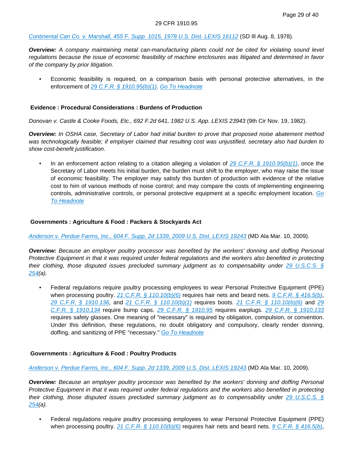[Continental Can Co. v. Marshall, 455 F. Supp. 1015, 1978 U.S. Dist. LEXIS 16112](https://advance.lexis.com/api/document?collection=cases&id=urn:contentItem:3S4N-JPF0-0054-72S2-00000-00&context=) (SD Ill Aug. 8, 1978).

**Overview:** A company maintaining metal can-manufacturing plants could not be cited for violating sound level regulations because the issue of economic feasibility of machine enclosures was litigated and determined in favor of the company by prior litigation.

• Economic feasibility is required, on a comparison basis with personal protective alternatives, in the enforcement of [29 C.F.R. § 1910.95\(b\)\(1\)](https://advance.lexis.com/api/document?collection=administrative-codes&id=urn:contentItem:5GFW-1YC0-008H-03R7-00000-00&context=). [Go To Headnote](https://advance.lexis.com/api/document?collection=cases&id=urn:contentItem:3S4N-JPF0-0054-72S2-00000-00&context=)

#### **Evidence : Procedural Considerations : Burdens of Production**

Donovan v. Castle & Cooke Foods, Etc., 692 F.2d 641, 1982 U.S. App. LEXIS 23943 (9th Cir Nov. 19, 1982).

**Overview:** In OSHA case, Secretary of Labor had initial burden to prove that proposed noise abatement method was technologically feasible; if employer claimed that resulting cost was unjustified, secretary also had burden to show cost-benefit justification.

• In an enforcement action relating to a citation alleging a violation of 29 C.F.R.  $\frac{6}{5}$  1910.95(b)(1), once the Secretary of Labor meets his initial burden, the burden must shift to the employer, who may raise the issue of economic feasibility. The employer may satisfy this burden of production with evidence of the relative cost to him of various methods of noise control; and may compare the costs of implementing engineering controls, administrative controls, or personal protective equipment at a specific employment location. [Go](https://advance.lexis.com/api/document?collection=cases&id=urn:contentItem:3S4X-1FT0-003B-G17C-00000-00&context=)  [To Headnote](https://advance.lexis.com/api/document?collection=cases&id=urn:contentItem:3S4X-1FT0-003B-G17C-00000-00&context=)

#### **Governments : Agriculture & Food : Packers & Stockyards Act**

[Anderson v. Perdue Farms, Inc., 604 F. Supp. 2d 1339, 2009 U.S. Dist. LEXIS 19243](https://advance.lexis.com/api/document?collection=cases&id=urn:contentItem:4VTT-S7C0-TXFP-824R-00000-00&context=) (MD Ala Mar. 10, 2009).

**Overview:** Because an employer poultry processor was benefited by the workers' donning and doffing Personal Protective Equipment in that it was required under federal regulations and the workers also benefited in protecting their clothing, those disputed issues precluded summary judgment as to compensability under  $29$  U.S.C.S. § [254\(](https://advance.lexis.com/api/document?collection=statutes-legislation&id=urn:contentItem:4YF7-GKH1-NRF4-40P1-00000-00&context=)a).

• Federal regulations require poultry processing employees to wear Personal Protective Equipment (PPE) when processing poultry. [21 C.F.R. § 110.10\(b\)\(6\)](https://advance.lexis.com/api/document?collection=administrative-codes&id=urn:contentItem:5KFB-B8K0-008G-Y1DX-00000-00&context=) requires hair nets and beard nets. [9 C.F.R. § 416.5\(b\)](https://advance.lexis.com/api/document?collection=administrative-codes&id=urn:contentItem:5CVT-CHS0-008G-Y4XX-00000-00&context=), [29 C.F.R. § 1910.136](https://advance.lexis.com/api/document?collection=administrative-codes&id=urn:contentItem:5M8X-JM20-008H-036G-00000-00&context=), and [21 C.F.R. § 110.10\(b\)\(1\)](https://advance.lexis.com/api/document?collection=administrative-codes&id=urn:contentItem:5KFB-B8K0-008G-Y1DX-00000-00&context=) requires boots. [21 C.F.R. § 110.10\(b\)\(6\)](https://advance.lexis.com/api/document?collection=administrative-codes&id=urn:contentItem:5KFB-B8K0-008G-Y1DX-00000-00&context=) and 29 [C.F.R. § 1910.134](https://advance.lexis.com/api/document?collection=administrative-codes&id=urn:contentItem:5M8X-JM60-008H-04BR-00000-00&context=) require bump caps. [29 C.F.R. § 1910.95](https://advance.lexis.com/api/document?collection=administrative-codes&id=urn:contentItem:5GFW-1YC0-008H-03R7-00000-00&context=) requires earplugs. [29 C.F.R. § 1910.133](https://advance.lexis.com/api/document?collection=administrative-codes&id=urn:contentItem:5M8X-JM20-008H-036D-00000-00&context=) requires safety glasses. One meaning of "necessary" is required by obligation, compulsion, or convention. Under this definition, these regulations, no doubt obligatory and compulsory, clearly render donning, doffing, and sanitizing of PPE "necessary." [Go To Headnote](https://advance.lexis.com/api/document?collection=cases&id=urn:contentItem:4VTT-S7C0-TXFP-824R-00000-00&context=)

#### **Governments : Agriculture & Food : Poultry Products**

[Anderson v. Perdue Farms, Inc., 604 F. Supp. 2d 1339, 2009 U.S. Dist. LEXIS 19243](https://advance.lexis.com/api/document?collection=cases&id=urn:contentItem:4VTT-S7C0-TXFP-824R-00000-00&context=) (MD Ala Mar. 10, 2009).

**Overview:** Because an employer poultry processor was benefited by the workers' donning and doffing Personal Protective Equipment in that it was required under federal regulations and the workers also benefited in protecting their clothing, those disputed issues precluded summary judgment as to compensability under 29 U.S.C.S.  $\S$  $254(a)$  $254(a)$ .

• Federal regulations require poultry processing employees to wear Personal Protective Equipment (PPE) when processing poultry. [21 C.F.R. § 110.10\(b\)\(6\)](https://advance.lexis.com/api/document?collection=administrative-codes&id=urn:contentItem:5KFB-B8K0-008G-Y1DX-00000-00&context=) requires hair nets and beard nets. [9 C.F.R. § 416.5\(b\)](https://advance.lexis.com/api/document?collection=administrative-codes&id=urn:contentItem:5CVT-CHS0-008G-Y4XX-00000-00&context=),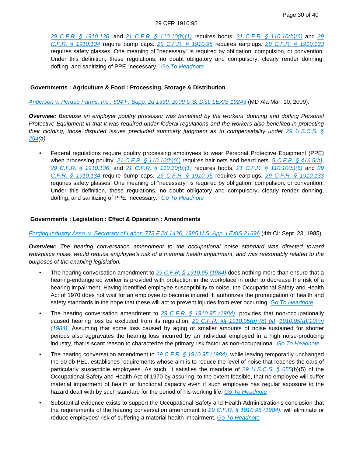[29 C.F.R. § 1910.136](https://advance.lexis.com/api/document?collection=administrative-codes&id=urn:contentItem:5M8X-JM20-008H-036G-00000-00&context=), and [21 C.F.R. § 110.10\(b\)\(1\)](https://advance.lexis.com/api/document?collection=administrative-codes&id=urn:contentItem:5KFB-B8K0-008G-Y1DX-00000-00&context=) requires boots. [21 C.F.R. § 110.10\(b\)\(6\)](https://advance.lexis.com/api/document?collection=administrative-codes&id=urn:contentItem:5KFB-B8K0-008G-Y1DX-00000-00&context=) and 29 [C.F.R. § 1910.134](https://advance.lexis.com/api/document?collection=administrative-codes&id=urn:contentItem:5M8X-JM60-008H-04BR-00000-00&context=) require bump caps. [29 C.F.R. § 1910.95](https://advance.lexis.com/api/document?collection=administrative-codes&id=urn:contentItem:5GFW-1YC0-008H-03R7-00000-00&context=) requires earplugs. [29 C.F.R. § 1910.133](https://advance.lexis.com/api/document?collection=administrative-codes&id=urn:contentItem:5M8X-JM20-008H-036D-00000-00&context=) requires safety glasses. One meaning of "necessary" is required by obligation, compulsion, or convention. Under this definition, these regulations, no doubt obligatory and compulsory, clearly render donning, doffing, and sanitizing of PPE "necessary." [Go To Headnote](https://advance.lexis.com/api/document?collection=cases&id=urn:contentItem:4VTT-S7C0-TXFP-824R-00000-00&context=)

## **Governments : Agriculture & Food : Processing, Storage & Distribution**

[Anderson v. Perdue Farms, Inc., 604 F. Supp. 2d 1339, 2009 U.S. Dist. LEXIS 19243](https://advance.lexis.com/api/document?collection=cases&id=urn:contentItem:4VTT-S7C0-TXFP-824R-00000-00&context=) (MD Ala Mar. 10, 2009).

**Overview:** Because an employer poultry processor was benefited by the workers' donning and doffing Personal Protective Equipment in that it was required under federal regulations and the workers also benefited in protecting their clothing, those disputed issues precluded summary judgment as to compensability under 29 U.S.C.S.  $\S$  $254(a)$  $254(a)$ .

• Federal regulations require poultry processing employees to wear Personal Protective Equipment (PPE) when processing poultry. [21 C.F.R. § 110.10\(b\)\(6\)](https://advance.lexis.com/api/document?collection=administrative-codes&id=urn:contentItem:5KFB-B8K0-008G-Y1DX-00000-00&context=) requires hair nets and beard nets. [9 C.F.R. § 416.5\(b\)](https://advance.lexis.com/api/document?collection=administrative-codes&id=urn:contentItem:5CVT-CHS0-008G-Y4XX-00000-00&context=), [29 C.F.R. § 1910.136](https://advance.lexis.com/api/document?collection=administrative-codes&id=urn:contentItem:5M8X-JM20-008H-036G-00000-00&context=), and [21 C.F.R. § 110.10\(b\)\(1\)](https://advance.lexis.com/api/document?collection=administrative-codes&id=urn:contentItem:5KFB-B8K0-008G-Y1DX-00000-00&context=) requires boots. [21 C.F.R. § 110.10\(b\)\(6\)](https://advance.lexis.com/api/document?collection=administrative-codes&id=urn:contentItem:5KFB-B8K0-008G-Y1DX-00000-00&context=) and 29 [C.F.R. § 1910.134](https://advance.lexis.com/api/document?collection=administrative-codes&id=urn:contentItem:5M8X-JM60-008H-04BR-00000-00&context=) require bump caps. [29 C.F.R. § 1910.95](https://advance.lexis.com/api/document?collection=administrative-codes&id=urn:contentItem:5GFW-1YC0-008H-03R7-00000-00&context=) requires earplugs. [29 C.F.R. § 1910.133](https://advance.lexis.com/api/document?collection=administrative-codes&id=urn:contentItem:5M8X-JM20-008H-036D-00000-00&context=) requires safety glasses. One meaning of "necessary" is required by obligation, compulsion, or convention. Under this definition, these regulations, no doubt obligatory and compulsory, clearly render donning, doffing, and sanitizing of PPE "necessary." [Go To Headnote](https://advance.lexis.com/api/document?collection=cases&id=urn:contentItem:4VTT-S7C0-TXFP-824R-00000-00&context=)

### **Governments : Legislation : Effect & Operation : Amendments**

[Forging Industry Asso. v. Secretary of Labor, 773 F.2d 1436, 1985 U.S. App. LEXIS 21696](https://advance.lexis.com/api/document?collection=cases&id=urn:contentItem:3S4X-DS90-0039-P4XH-00000-00&context=) (4th Cir Sept. 23, 1985).

**Overview:** The hearing conversation amendment to the occupational noise standard was directed toward workplace noise, would reduce employee's risk of a material health impairment, and was reasonably related to the purposes of the enabling legislation.

- The hearing conversation amendment to [29 C.F.R. § 1910.95 \(1984\)](https://advance.lexis.com/api/document?collection=administrative-codes&id=urn:contentItem:5GFW-1YC0-008H-03R7-00000-00&context=) does nothing more than ensure that a hearing-endangered worker is provided with protection in the workplace in order to decrease the risk of a hearing impairment. Having identified employee susceptibility to noise, the Occupational Safety and Health Act of 1970 does not wait for an employee to become injured. It authorizes the promulgation of health and safety standards in the hope that these will act to prevent injuries from ever occurring. [Go To Headnote](https://advance.lexis.com/api/document?collection=cases&id=urn:contentItem:3S4X-DS90-0039-P4XH-00000-00&context=)
- The hearing conversation amendment to [29 C.F.R. § 1910.95 \(1984\)](https://advance.lexis.com/api/document?collection=administrative-codes&id=urn:contentItem:5GFW-1YC0-008H-03R7-00000-00&context=), provides that non-occupationally caused hearing loss be excluded from its regulation. [29 C.F.R. §§ 1910.95\(g\) \(8\) \(ii\)](https://advance.lexis.com/api/document?collection=administrative-codes&id=urn:contentItem:5GFW-1YC0-008H-03R7-00000-00&context=), 1910.95(g)(10)(ii) [\(1984\)](https://advance.lexis.com/api/document?collection=administrative-codes&id=urn:contentItem:5GFW-1YC0-008H-03R7-00000-00&context=). Assuming that some loss caused by aging or smaller amounts of noise sustained for shorter periods also aggravates the hearing loss incurred by an individual employed in a high noise-producing industry, that is scant reason to characterize the primary risk factor as non-occupational. [Go To Headnote](https://advance.lexis.com/api/document?collection=cases&id=urn:contentItem:3S4X-DS90-0039-P4XH-00000-00&context=)
- The hearing conversation amendment to [29 C.F.R. § 1910.95 \(1984\)](https://advance.lexis.com/api/document?collection=administrative-codes&id=urn:contentItem:5GFW-1YC0-008H-03R7-00000-00&context=), while leaving temporarily unchanged the 90 db PEL, establishes requirements whose aim is to reduce the level of noise that reaches the ears of particularly susceptible employees. As such, it satisfies the mandate of [29 U.S.C.S. § 655](https://advance.lexis.com/api/document?collection=statutes-legislation&id=urn:contentItem:4YF7-GMJ1-NRF4-4038-00000-00&context=)(b)(5) of the Occupational Safety and Health Act of 1970 by assuring, to the extent feasible, that no employee will suffer material impairment of health or functional capacity even if such employee has regular exposure to the hazard dealt with by such standard for the period of his working life. [Go To Headnote](https://advance.lexis.com/api/document?collection=cases&id=urn:contentItem:3S4X-DS90-0039-P4XH-00000-00&context=)
- Substantial evidence exists to support the Occupational Safety and Health Administration's conclusion that the requirements of the hearing conversation amendment to 29 C.F.R.  $\S$  1910.95 (1984), will eliminate or reduce employees' risk of suffering a material health impairment. [Go To Headnote](https://advance.lexis.com/api/document?collection=cases&id=urn:contentItem:3S4X-DS90-0039-P4XH-00000-00&context=)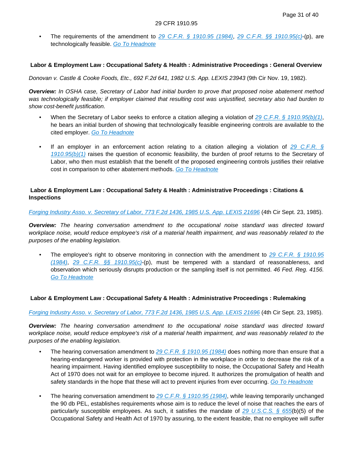• The requirements of the amendment to 29 C.F.R.  $\S$  1910.95 (1984), 29 C.F.R.  $\S$  1910.95(c)-(p), are technologically feasible. [Go To Headnote](https://advance.lexis.com/api/document?collection=cases&id=urn:contentItem:3S4X-DS90-0039-P4XH-00000-00&context=)

## **Labor & Employment Law : Occupational Safety & Health : Administrative Proceedings : General Overview**

Donovan v. Castle & Cooke Foods, Etc., 692 F.2d 641, 1982 U.S. App. LEXIS 23943 (9th Cir Nov. 19, 1982).

**Overview:** In OSHA case, Secretary of Labor had initial burden to prove that proposed noise abatement method was technologically feasible; if employer claimed that resulting cost was unjustified, secretary also had burden to show cost-benefit justification.

- When the Secretary of Labor seeks to enforce a citation alleging a violation of [29 C.F.R. § 1910.95\(b\)\(1\)](https://advance.lexis.com/api/document?collection=administrative-codes&id=urn:contentItem:5GFW-1YC0-008H-03R7-00000-00&context=), he bears an initial burden of showing that technologically feasible engineering controls are available to the cited employer. [Go To Headnote](https://advance.lexis.com/api/document?collection=cases&id=urn:contentItem:3S4X-1FT0-003B-G17C-00000-00&context=)
- If an employer in an enforcement action relating to a citation alleging a violation of 29 C.F.R.  $\S$  $1910.95(b)(1)$  raises the question of economic feasibility, the burden of proof returns to the Secretary of Labor, who then must establish that the benefit of the proposed engineering controls justifies their relative cost in comparison to other abatement methods. [Go To Headnote](https://advance.lexis.com/api/document?collection=cases&id=urn:contentItem:3S4X-1FT0-003B-G17C-00000-00&context=)

## **Labor & Employment Law : Occupational Safety & Health : Administrative Proceedings : Citations & Inspections**

[Forging Industry Asso. v. Secretary of Labor, 773 F.2d 1436, 1985 U.S. App. LEXIS 21696](https://advance.lexis.com/api/document?collection=cases&id=urn:contentItem:3S4X-DS90-0039-P4XH-00000-00&context=) (4th Cir Sept. 23, 1985).

**Overview:** The hearing conversation amendment to the occupational noise standard was directed toward workplace noise, would reduce employee's risk of a material health impairment, and was reasonably related to the purposes of the enabling legislation.

The employee's right to observe monitoring in connection with the amendment to 29 C.F.R. § 1910.95  $(1984)$ , [29 C.F.R. §§ 1910.95\(c\)](https://advance.lexis.com/api/document?collection=administrative-codes&id=urn:contentItem:5GFW-1YC0-008H-03R7-00000-00&context=)-(p), must be tempered with a standard of reasonableness, and observation which seriously disrupts production or the sampling itself is not permitted. 46 Fed. Reg. 4156. [Go To Headnote](https://advance.lexis.com/api/document?collection=cases&id=urn:contentItem:3S4X-DS90-0039-P4XH-00000-00&context=)

## **Labor & Employment Law : Occupational Safety & Health : Administrative Proceedings : Rulemaking**

[Forging Industry Asso. v. Secretary of Labor, 773 F.2d 1436, 1985 U.S. App. LEXIS 21696](https://advance.lexis.com/api/document?collection=cases&id=urn:contentItem:3S4X-DS90-0039-P4XH-00000-00&context=) (4th Cir Sept. 23, 1985).

**Overview:** The hearing conversation amendment to the occupational noise standard was directed toward workplace noise, would reduce employee's risk of a material health impairment, and was reasonably related to the purposes of the enabling legislation.

- The hearing conversation amendment to [29 C.F.R. § 1910.95 \(1984\)](https://advance.lexis.com/api/document?collection=administrative-codes&id=urn:contentItem:5GFW-1YC0-008H-03R7-00000-00&context=) does nothing more than ensure that a hearing-endangered worker is provided with protection in the workplace in order to decrease the risk of a hearing impairment. Having identified employee susceptibility to noise, the Occupational Safety and Health Act of 1970 does not wait for an employee to become injured. It authorizes the promulgation of health and safety standards in the hope that these will act to prevent injuries from ever occurring. [Go To Headnote](https://advance.lexis.com/api/document?collection=cases&id=urn:contentItem:3S4X-DS90-0039-P4XH-00000-00&context=)
- The hearing conversation amendment to  $29$  C.F.R. § 1910.95 (1984), while leaving temporarily unchanged the 90 db PEL, establishes requirements whose aim is to reduce the level of noise that reaches the ears of particularly susceptible employees. As such, it satisfies the mandate of  $29 \text{ U.S.C.S.}$  § 655(b)(5) of the Occupational Safety and Health Act of 1970 by assuring, to the extent feasible, that no employee will suffer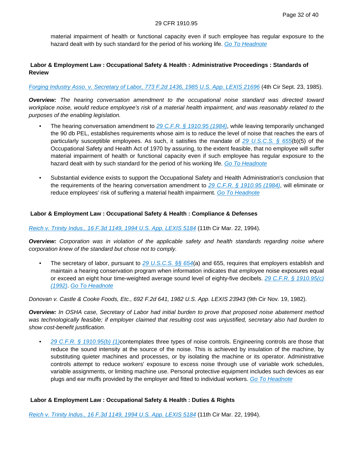material impairment of health or functional capacity even if such employee has regular exposure to the hazard dealt with by such standard for the period of his working life. [Go To Headnote](https://advance.lexis.com/api/document?collection=cases&id=urn:contentItem:3S4X-DS90-0039-P4XH-00000-00&context=)

## **Labor & Employment Law : Occupational Safety & Health : Administrative Proceedings : Standards of Review**

## [Forging Industry Asso. v. Secretary of Labor, 773 F.2d 1436, 1985 U.S. App. LEXIS 21696](https://advance.lexis.com/api/document?collection=cases&id=urn:contentItem:3S4X-DS90-0039-P4XH-00000-00&context=) (4th Cir Sept. 23, 1985).

**Overview:** The hearing conversation amendment to the occupational noise standard was directed toward workplace noise, would reduce employee's risk of a material health impairment, and was reasonably related to the purposes of the enabling legislation.

- The hearing conversation amendment to [29 C.F.R. § 1910.95 \(1984\)](https://advance.lexis.com/api/document?collection=administrative-codes&id=urn:contentItem:5GFW-1YC0-008H-03R7-00000-00&context=), while leaving temporarily unchanged the 90 db PEL, establishes requirements whose aim is to reduce the level of noise that reaches the ears of particularly susceptible employees. As such, it satisfies the mandate of [29 U.S.C.S. § 655](https://advance.lexis.com/api/document?collection=statutes-legislation&id=urn:contentItem:4YF7-GMJ1-NRF4-4038-00000-00&context=)(b)(5) of the Occupational Safety and Health Act of 1970 by assuring, to the extent feasible, that no employee will suffer material impairment of health or functional capacity even if such employee has regular exposure to the hazard dealt with by such standard for the period of his working life. [Go To Headnote](https://advance.lexis.com/api/document?collection=cases&id=urn:contentItem:3S4X-DS90-0039-P4XH-00000-00&context=)
- Substantial evidence exists to support the Occupational Safety and Health Administration's conclusion that the requirements of the hearing conversation amendment to 29 C.F.R.  $\S$  1910.95 (1984), will eliminate or reduce employees' risk of suffering a material health impairment. [Go To Headnote](https://advance.lexis.com/api/document?collection=cases&id=urn:contentItem:3S4X-DS90-0039-P4XH-00000-00&context=)

## **Labor & Employment Law : Occupational Safety & Health : Compliance & Defenses**

## [Reich v. Trinity Indus., 16 F.3d 1149, 1994 U.S. App. LEXIS 5184](https://advance.lexis.com/api/document?collection=cases&id=urn:contentItem:3S4X-7G00-003B-P18H-00000-00&context=) (11th Cir Mar. 22, 1994).

**Overview:** Corporation was in violation of the applicable safety and health standards regarding noise where corporation knew of the standard but chose not to comply.

• The secretary of labor, pursuant to 29 U.S.C.S.  $\S_{\sigma}$  654(a) and 655, requires that employers establish and maintain a hearing conservation program when information indicates that employee noise exposures equal or exceed an eight hour time-weighted average sound level of eighty-five decibels. 29 C.F.R. § 1910.95(c) [\(1992\)](https://advance.lexis.com/api/document?collection=administrative-codes&id=urn:contentItem:5GFW-1YC0-008H-03R7-00000-00&context=). [Go To Headnote](https://advance.lexis.com/api/document?collection=cases&id=urn:contentItem:3S4X-7G00-003B-P18H-00000-00&context=)

Donovan v. Castle & Cooke Foods, Etc., 692 F.2d 641, 1982 U.S. App. LEXIS 23943 (9th Cir Nov. 19, 1982).

**Overview:** In OSHA case, Secretary of Labor had initial burden to prove that proposed noise abatement method was technologically feasible; if employer claimed that resulting cost was unjustified, secretary also had burden to show cost-benefit justification.

• [29 C.F.R. § 1910.95\(b\) \(1\)](https://advance.lexis.com/api/document?collection=administrative-codes&id=urn:contentItem:5GFW-1YC0-008H-03R7-00000-00&context=)contemplates three types of noise controls. Engineering controls are those that reduce the sound intensity at the source of the noise. This is achieved by insulation of the machine, by substituting quieter machines and processes, or by isolating the machine or its operator. Administrative controls attempt to reduce workers' exposure to excess noise through use of variable work schedules, variable assignments, or limiting machine use. Personal protective equipment includes such devices as ear plugs and ear muffs provided by the employer and fitted to individual workers. [Go To Headnote](https://advance.lexis.com/api/document?collection=cases&id=urn:contentItem:3S4X-1FT0-003B-G17C-00000-00&context=)

### **Labor & Employment Law : Occupational Safety & Health : Duties & Rights**

[Reich v. Trinity Indus., 16 F.3d 1149, 1994 U.S. App. LEXIS 5184](https://advance.lexis.com/api/document?collection=cases&id=urn:contentItem:3S4X-7G00-003B-P18H-00000-00&context=) (11th Cir Mar. 22, 1994).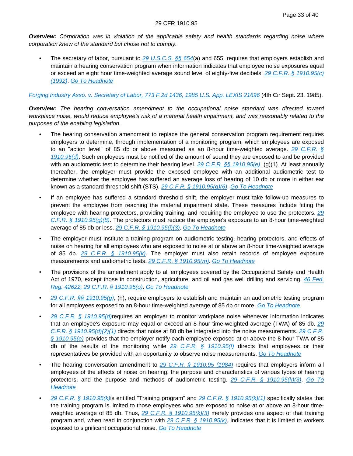**Overview:** Corporation was in violation of the applicable safety and health standards regarding noise where corporation knew of the standard but chose not to comply.

• The secretary of labor, pursuant to 29 U.S.C.S.  $\S_{6}$  654(a) and 655, requires that employers establish and maintain a hearing conservation program when information indicates that employee noise exposures equal or exceed an eight hour time-weighted average sound level of eighty-five decibels. 29 C.F.R. § 1910.95(c) [\(1992\)](https://advance.lexis.com/api/document?collection=administrative-codes&id=urn:contentItem:5GFW-1YC0-008H-03R7-00000-00&context=). [Go To Headnote](https://advance.lexis.com/api/document?collection=cases&id=urn:contentItem:3S4X-7G00-003B-P18H-00000-00&context=)

## [Forging Industry Asso. v. Secretary of Labor, 773 F.2d 1436, 1985 U.S. App. LEXIS 21696](https://advance.lexis.com/api/document?collection=cases&id=urn:contentItem:3S4X-DS90-0039-P4XH-00000-00&context=) (4th Cir Sept. 23, 1985).

**Overview:** The hearing conversation amendment to the occupational noise standard was directed toward workplace noise, would reduce employee's risk of a material health impairment, and was reasonably related to the purposes of the enabling legislation.

- The hearing conservation amendment to replace the general conservation program requirement requires employers to determine, through implementation of a monitoring program, which employees are exposed to an "action level" of 85 db or above measured as an 8-hour time-weighted average. 29 C.F.R.  $\S$  $1910.95(d)$ . Such employees must be notified of the amount of sound they are exposed to and be provided with an audiometric test to determine their hearing level. [29 C.F.R. §§ 1910.95\(e\)](https://advance.lexis.com/api/document?collection=administrative-codes&id=urn:contentItem:5GFW-1YC0-008H-03R7-00000-00&context=), (g)(1). At least annually thereafter, the employer must provide the exposed employee with an additional audiometric test to determine whether the employee has suffered an average loss of hearing of 10 db or more in either ear known as a standard threshold shift (STS). 29 C.F.R. § 1910.95 $(g)(6)$ . [Go To Headnote](https://advance.lexis.com/api/document?collection=cases&id=urn:contentItem:3S4X-DS90-0039-P4XH-00000-00&context=)
- If an employee has suffered a standard threshold shift, the employer must take follow-up measures to prevent the employee from reaching the material impairment state. These measures include fitting the employee with hearing protectors, providing training, and requiring the employee to use the protectors. [29](https://advance.lexis.com/api/document?collection=administrative-codes&id=urn:contentItem:5GFW-1YC0-008H-03R7-00000-00&context=)  [C.F.R. § 1910.95\(g\)\(8\)](https://advance.lexis.com/api/document?collection=administrative-codes&id=urn:contentItem:5GFW-1YC0-008H-03R7-00000-00&context=). The protectors must reduce the employee's exposure to an 8-hour time-weighted average of 85 db or less. [29 C.F.R. § 1910.95\(j\)\(3\)](https://advance.lexis.com/api/document?collection=administrative-codes&id=urn:contentItem:5GFW-1YC0-008H-03R7-00000-00&context=). [Go To Headnote](https://advance.lexis.com/api/document?collection=cases&id=urn:contentItem:3S4X-DS90-0039-P4XH-00000-00&context=)
- The employer must institute a training program on audiometric testing, hearing protectors, and effects of noise on hearing for all employees who are exposed to noise at or above an 8-hour time-weighted average of 85 db.  $29$  C.F.R. § 1910.95(k). The employer must also retain records of employee exposure measurements and audiometric tests. [29 C.F.R. § 1910.95\(m\)](https://advance.lexis.com/api/document?collection=administrative-codes&id=urn:contentItem:5GFW-1YC0-008H-03R7-00000-00&context=). [Go To Headnote](https://advance.lexis.com/api/document?collection=cases&id=urn:contentItem:3S4X-DS90-0039-P4XH-00000-00&context=)
- The provisions of the amendment apply to all employees covered by the Occupational Safety and Health Act of 1970, except those in construction, agriculture, and oil and gas well drilling and servicing. 46 Fed. [Reg. 42622;](https://advance.lexis.com/api/document?collection=administrative-codes&id=urn:contentItem:3SD4-1FJ0-000N-02N6-00000-00&context=) [29 C.F.R. § 1910.95\(o\)](https://advance.lexis.com/api/document?collection=administrative-codes&id=urn:contentItem:5GFW-1YC0-008H-03R7-00000-00&context=). [Go To Headnote](https://advance.lexis.com/api/document?collection=cases&id=urn:contentItem:3S4X-DS90-0039-P4XH-00000-00&context=)
- 29 C.F.R.  $\S$ § 1910.95(g), (h), require employers to establish and maintain an audiometric testing program for all employees exposed to an 8-hour time-weighted average of 85 db or more. [Go To Headnote](https://advance.lexis.com/api/document?collection=cases&id=urn:contentItem:3S4X-DS90-0039-P4XH-00000-00&context=)
- [29 C.F.R. § 1910.95\(d\)](https://advance.lexis.com/api/document?collection=administrative-codes&id=urn:contentItem:5GFW-1YC0-008H-03R7-00000-00&context=) requires an employer to monitor workplace noise whenever information indicates that an employee's exposure may equal or exceed an 8-hour time-weighted average (TWA) of 85 db. [29](https://advance.lexis.com/api/document?collection=administrative-codes&id=urn:contentItem:5GFW-1YC0-008H-03R7-00000-00&context=)  [C.F.R. § 1910.95\(d\)\(2\)\(1\)](https://advance.lexis.com/api/document?collection=administrative-codes&id=urn:contentItem:5GFW-1YC0-008H-03R7-00000-00&context=) directs that noise at 80 db be integrated into the noise measurements. 29 C.F.R.  $\S$  1910.95(e) provides that the employer notify each employee exposed at or above the 8-hour TWA of 85 db of the results of the monitoring while  $29$  C.F.R. § 1910.95(f) directs that employees or their representatives be provided with an opportunity to observe noise measurements. [Go To Headnote](https://advance.lexis.com/api/document?collection=cases&id=urn:contentItem:3S4X-DS90-0039-P4XH-00000-00&context=)
- The hearing conversation amendment to 29 C.F.R.  $\S$  1910.95 (1984) requires that employers inform all employees of the effects of noise on hearing, the purpose and characteristics of various types of hearing protectors, and the purpose and methods of audiometric testing.  $29 \text{ C.F.R.}$  §  $1910.95(k)(3)$ . Go To **[Headnote](https://advance.lexis.com/api/document?collection=cases&id=urn:contentItem:3S4X-DS90-0039-P4XH-00000-00&context=)**
- [29 C.F.R. § 1910.95\(k\)](https://advance.lexis.com/api/document?collection=administrative-codes&id=urn:contentItem:5GFW-1YC0-008H-03R7-00000-00&context=) is entitled "Training program" and [29 C.F.R. § 1910.95\(k\)\(1\)](https://advance.lexis.com/api/document?collection=administrative-codes&id=urn:contentItem:5GFW-1YC0-008H-03R7-00000-00&context=) specifically states that the training program is limited to those employees who are exposed to noise at or above an 8-hour timeweighted average of 85 db. Thus, 29 C.F.R. § 1910.95 $(k)(3)$  merely provides one aspect of that training program and, when read in conjunction with 29 C.F.R.  $\S$  1910.95(k), indicates that it is limited to workers exposed to significant occupational noise. [Go To Headnote](https://advance.lexis.com/api/document?collection=cases&id=urn:contentItem:3S4X-DS90-0039-P4XH-00000-00&context=)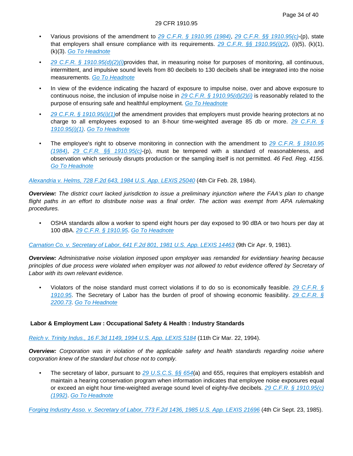- Various provisions of the amendment to [29 C.F.R. § 1910.95 \(1984\)](https://advance.lexis.com/api/document?collection=administrative-codes&id=urn:contentItem:5GFW-1YC0-008H-03R7-00000-00&context=), [29 C.F.R. §§ 1910.95\(c\)](https://advance.lexis.com/api/document?collection=administrative-codes&id=urn:contentItem:5GFW-1YC0-008H-03R7-00000-00&context=)-(p), state that employers shall ensure compliance with its requirements.  $29$  C.F.R. §§ 1910.95(i)(2), (i)(5), (k)(1), (k)(3). [Go To Headnote](https://advance.lexis.com/api/document?collection=cases&id=urn:contentItem:3S4X-DS90-0039-P4XH-00000-00&context=)
- [29 C.F.R. § 1910.95\(d\)\(2\)\(i\)](https://advance.lexis.com/api/document?collection=administrative-codes&id=urn:contentItem:5GFW-1YC0-008H-03R7-00000-00&context=)provides that, in measuring noise for purposes of monitoring, all continuous, intermittent, and impulsive sound levels from 80 decibels to 130 decibels shall be integrated into the noise measurements. [Go To Headnote](https://advance.lexis.com/api/document?collection=cases&id=urn:contentItem:3S4X-DS90-0039-P4XH-00000-00&context=)
- In view of the evidence indicating the hazard of exposure to impulse noise, over and above exposure to continuous noise, the inclusion of impulse noise in [29 C.F.R. § 1910.95\(d\)\(2\)\(i\)](https://advance.lexis.com/api/document?collection=administrative-codes&id=urn:contentItem:5GFW-1YC0-008H-03R7-00000-00&context=) is reasonably related to the purpose of ensuring safe and healthful employment. [Go To Headnote](https://advance.lexis.com/api/document?collection=cases&id=urn:contentItem:3S4X-DS90-0039-P4XH-00000-00&context=)
- [29 C.F.R. § 1910.95\(i\)\(1\)](https://advance.lexis.com/api/document?collection=administrative-codes&id=urn:contentItem:5GFW-1YC0-008H-03R7-00000-00&context=)of the amendment provides that employers must provide hearing protectors at no charge to all employees exposed to an 8-hour time-weighted average 85 db or more. 29 C.F.R.  $\S$ [1910.95\(i\)\(1\)](https://advance.lexis.com/api/document?collection=administrative-codes&id=urn:contentItem:5GFW-1YC0-008H-03R7-00000-00&context=). [Go To Headnote](https://advance.lexis.com/api/document?collection=cases&id=urn:contentItem:3S4X-DS90-0039-P4XH-00000-00&context=)
- The employee's right to observe monitoring in connection with the amendment to 29 C.F.R.  $\S$  1910.95  $(1984)$ , [29 C.F.R. §§ 1910.95\(c\)](https://advance.lexis.com/api/document?collection=administrative-codes&id=urn:contentItem:5GFW-1YC0-008H-03R7-00000-00&context=)-(p), must be tempered with a standard of reasonableness, and observation which seriously disrupts production or the sampling itself is not permitted. 46 Fed. Reg. 4156. [Go To Headnote](https://advance.lexis.com/api/document?collection=cases&id=urn:contentItem:3S4X-DS90-0039-P4XH-00000-00&context=)

[Alexandria v. Helms, 728 F.2d 643, 1984 U.S. App. LEXIS 25040](https://advance.lexis.com/api/document?collection=cases&id=urn:contentItem:3S4W-XHJ0-003B-G380-00000-00&context=) (4th Cir Feb. 28, 1984).

**Overview:** The district court lacked jurisdiction to issue a preliminary injunction where the FAA's plan to change flight paths in an effort to distribute noise was a final order. The action was exempt from APA rulemaking procedures.

• OSHA standards allow a worker to spend eight hours per day exposed to 90 dBA or two hours per day at 100 dBA. [29 C.F.R. § 1910.95](https://advance.lexis.com/api/document?collection=administrative-codes&id=urn:contentItem:5GFW-1YC0-008H-03R7-00000-00&context=). [Go To Headnote](https://advance.lexis.com/api/document?collection=cases&id=urn:contentItem:3S4W-XHJ0-003B-G380-00000-00&context=)

[Carnation Co. v. Secretary of Labor, 641 F.2d 801, 1981 U.S. App. LEXIS 14463](https://advance.lexis.com/api/document?collection=cases&id=urn:contentItem:3S4X-3F90-0039-W4K5-00000-00&context=) (9th Cir Apr. 9, 1981).

**Overview:** Administrative noise violation imposed upon employer was remanded for evidentiary hearing because principles of due process were violated when employer was not allowed to rebut evidence offered by Secretary of Labor with its own relevant evidence.

Violators of the noise standard must correct violations if to do so is economically feasible. 29 C.F.R. § [1910.95](https://advance.lexis.com/api/document?collection=administrative-codes&id=urn:contentItem:5GFW-1YC0-008H-03R7-00000-00&context=). The Secretary of Labor has the burden of proof of showing economic feasibility. [29 C.F.R. §](https://advance.lexis.com/api/document?collection=administrative-codes&id=urn:contentItem:5GFW-1YJ0-008H-04SM-00000-00&context=)  [2200.73](https://advance.lexis.com/api/document?collection=administrative-codes&id=urn:contentItem:5GFW-1YJ0-008H-04SM-00000-00&context=). [Go To Headnote](https://advance.lexis.com/api/document?collection=cases&id=urn:contentItem:3S4X-3F90-0039-W4K5-00000-00&context=)

### **Labor & Employment Law : Occupational Safety & Health : Industry Standards**

[Reich v. Trinity Indus., 16 F.3d 1149, 1994 U.S. App. LEXIS 5184](https://advance.lexis.com/api/document?collection=cases&id=urn:contentItem:3S4X-7G00-003B-P18H-00000-00&context=) (11th Cir Mar. 22, 1994).

**Overview:** Corporation was in violation of the applicable safety and health standards regarding noise where corporation knew of the standard but chose not to comply.

• The secretary of labor, pursuant to [29 U.S.C.S. §§ 654](https://advance.lexis.com/api/document?collection=statutes-legislation&id=urn:contentItem:4YF7-GTJ1-NRF4-432Y-00000-00&context=)(a) and 655, requires that employers establish and maintain a hearing conservation program when information indicates that employee noise exposures equal or exceed an eight hour time-weighted average sound level of eighty-five decibels. 29 C.F.R. § 1910.95(c) [\(1992\)](https://advance.lexis.com/api/document?collection=administrative-codes&id=urn:contentItem:5GFW-1YC0-008H-03R7-00000-00&context=). [Go To Headnote](https://advance.lexis.com/api/document?collection=cases&id=urn:contentItem:3S4X-7G00-003B-P18H-00000-00&context=)

[Forging Industry Asso. v. Secretary of Labor, 773 F.2d 1436, 1985 U.S. App. LEXIS 21696](https://advance.lexis.com/api/document?collection=cases&id=urn:contentItem:3S4X-DS90-0039-P4XH-00000-00&context=) (4th Cir Sept. 23, 1985).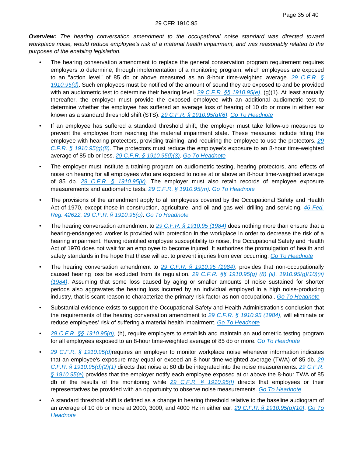**Overview:** The hearing conversation amendment to the occupational noise standard was directed toward workplace noise, would reduce employee's risk of a material health impairment, and was reasonably related to the purposes of the enabling legislation.

- The hearing conservation amendment to replace the general conservation program requirement requires employers to determine, through implementation of a monitoring program, which employees are exposed to an "action level" of 85 db or above measured as an 8-hour time-weighted average. 29 C.F.R. § [1910.95\(d\)](https://advance.lexis.com/api/document?collection=administrative-codes&id=urn:contentItem:5GFW-1YC0-008H-03R7-00000-00&context=). Such employees must be notified of the amount of sound they are exposed to and be provided with an audiometric test to determine their hearing level. [29 C.F.R. §§ 1910.95\(e\)](https://advance.lexis.com/api/document?collection=administrative-codes&id=urn:contentItem:5GFW-1YC0-008H-03R7-00000-00&context=), (g)(1). At least annually thereafter, the employer must provide the exposed employee with an additional audiometric test to determine whether the employee has suffered an average loss of hearing of 10 db or more in either ear known as a standard threshold shift (STS). [29 C.F.R. § 1910.95\(g\)\(6\)](https://advance.lexis.com/api/document?collection=administrative-codes&id=urn:contentItem:5GFW-1YC0-008H-03R7-00000-00&context=). [Go To Headnote](https://advance.lexis.com/api/document?collection=cases&id=urn:contentItem:3S4X-DS90-0039-P4XH-00000-00&context=)
- If an employee has suffered a standard threshold shift, the employer must take follow-up measures to prevent the employee from reaching the material impairment state. These measures include fitting the employee with hearing protectors, providing training, and requiring the employee to use the protectors. 29  $C.F.R.$  § 1910.95(g)(8). The protectors must reduce the employee's exposure to an 8-hour time-weighted average of 85 db or less. [29 C.F.R. § 1910.95\(j\)\(3\)](https://advance.lexis.com/api/document?collection=administrative-codes&id=urn:contentItem:5GFW-1YC0-008H-03R7-00000-00&context=). [Go To Headnote](https://advance.lexis.com/api/document?collection=cases&id=urn:contentItem:3S4X-DS90-0039-P4XH-00000-00&context=)
- The employer must institute a training program on audiometric testing, hearing protectors, and effects of noise on hearing for all employees who are exposed to noise at or above an 8-hour time-weighted average of 85 db.  $29$  C.F.R. § 1910.95(k). The employer must also retain records of employee exposure measurements and audiometric tests. [29 C.F.R. § 1910.95\(m\)](https://advance.lexis.com/api/document?collection=administrative-codes&id=urn:contentItem:5GFW-1YC0-008H-03R7-00000-00&context=). [Go To Headnote](https://advance.lexis.com/api/document?collection=cases&id=urn:contentItem:3S4X-DS90-0039-P4XH-00000-00&context=)
- The provisions of the amendment apply to all employees covered by the Occupational Safety and Health Act of 1970, except those in construction, agriculture, and oil and gas well drilling and servicing. 46 Fed. [Reg. 42622;](https://advance.lexis.com/api/document?collection=administrative-codes&id=urn:contentItem:3SD4-1FJ0-000N-02N6-00000-00&context=) [29 C.F.R. § 1910.95\(o\)](https://advance.lexis.com/api/document?collection=administrative-codes&id=urn:contentItem:5GFW-1YC0-008H-03R7-00000-00&context=). [Go To Headnote](https://advance.lexis.com/api/document?collection=cases&id=urn:contentItem:3S4X-DS90-0039-P4XH-00000-00&context=)
- The hearing conversation amendment to [29 C.F.R. § 1910.95 \(1984\)](https://advance.lexis.com/api/document?collection=administrative-codes&id=urn:contentItem:5GFW-1YC0-008H-03R7-00000-00&context=) does nothing more than ensure that a hearing-endangered worker is provided with protection in the workplace in order to decrease the risk of a hearing impairment. Having identified employee susceptibility to noise, the Occupational Safety and Health Act of 1970 does not wait for an employee to become injured. It authorizes the promulgation of health and safety standards in the hope that these will act to prevent injuries from ever occurring. [Go To Headnote](https://advance.lexis.com/api/document?collection=cases&id=urn:contentItem:3S4X-DS90-0039-P4XH-00000-00&context=)
- The hearing conversation amendment to [29 C.F.R. § 1910.95 \(1984\)](https://advance.lexis.com/api/document?collection=administrative-codes&id=urn:contentItem:5GFW-1YC0-008H-03R7-00000-00&context=), provides that non-occupationally caused hearing loss be excluded from its regulation. [29 C.F.R. §§ 1910.95\(g\) \(8\) \(ii\)](https://advance.lexis.com/api/document?collection=administrative-codes&id=urn:contentItem:5GFW-1YC0-008H-03R7-00000-00&context=), 1910.95(g)(10)(ii) [\(1984\)](https://advance.lexis.com/api/document?collection=administrative-codes&id=urn:contentItem:5GFW-1YC0-008H-03R7-00000-00&context=). Assuming that some loss caused by aging or smaller amounts of noise sustained for shorter periods also aggravates the hearing loss incurred by an individual employed in a high noise-producing industry, that is scant reason to characterize the primary risk factor as non-occupational. [Go To Headnote](https://advance.lexis.com/api/document?collection=cases&id=urn:contentItem:3S4X-DS90-0039-P4XH-00000-00&context=)
- Substantial evidence exists to support the Occupational Safety and Health Administration's conclusion that the requirements of the hearing conversation amendment to 29 C.F.R.  $\S$  1910.95 (1984), will eliminate or reduce employees' risk of suffering a material health impairment. [Go To Headnote](https://advance.lexis.com/api/document?collection=cases&id=urn:contentItem:3S4X-DS90-0039-P4XH-00000-00&context=)
- [29 C.F.R. §§ 1910.95\(g\)](https://advance.lexis.com/api/document?collection=administrative-codes&id=urn:contentItem:5GFW-1YC0-008H-03R7-00000-00&context=), (h), require employers to establish and maintain an audiometric testing program for all employees exposed to an 8-hour time-weighted average of 85 db or more. [Go To Headnote](https://advance.lexis.com/api/document?collection=cases&id=urn:contentItem:3S4X-DS90-0039-P4XH-00000-00&context=)
- 29 C.F.R.  $\frac{6}{5}$  1910.95(d) requires an employer to monitor workplace noise whenever information indicates that an employee's exposure may equal or exceed an 8-hour time-weighted average (TWA) of 85 db. [29](https://advance.lexis.com/api/document?collection=administrative-codes&id=urn:contentItem:5GFW-1YC0-008H-03R7-00000-00&context=)   $C.F.R. \S 1910.95(d)/2)(1)$  directs that noise at 80 db be integrated into the noise measurements. 29 C.F.R. [§ 1910.95\(e\)](https://advance.lexis.com/api/document?collection=administrative-codes&id=urn:contentItem:5GFW-1YC0-008H-03R7-00000-00&context=) provides that the employer notify each employee exposed at or above the 8-hour TWA of 85 db of the results of the monitoring while 29 C.F.R.  $\S$  1910.95(f) directs that employees or their representatives be provided with an opportunity to observe noise measurements. [Go To Headnote](https://advance.lexis.com/api/document?collection=cases&id=urn:contentItem:3S4X-DS90-0039-P4XH-00000-00&context=)
- A standard threshold shift is defined as a change in hearing threshold relative to the baseline audiogram of an average of 10 db or more at 2000, 3000, and 4000 Hz in either ear. [29 C.F.R. § 1910.95\(g\)\(10\)](https://advance.lexis.com/api/document?collection=administrative-codes&id=urn:contentItem:5GFW-1YC0-008H-03R7-00000-00&context=). Go To **[Headnote](https://advance.lexis.com/api/document?collection=cases&id=urn:contentItem:3S4X-DS90-0039-P4XH-00000-00&context=)**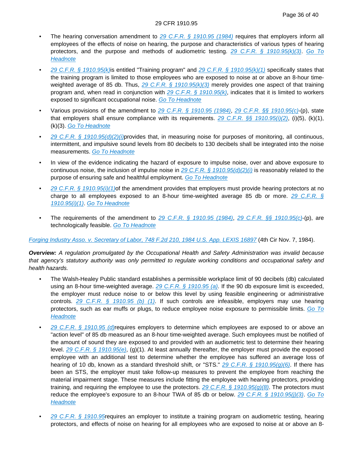- The hearing conversation amendment to [29 C.F.R. § 1910.95 \(1984\)](https://advance.lexis.com/api/document?collection=administrative-codes&id=urn:contentItem:5GFW-1YC0-008H-03R7-00000-00&context=) requires that employers inform all employees of the effects of noise on hearing, the purpose and characteristics of various types of hearing protectors, and the purpose and methods of audiometric testing. 29 C.F.R. § 1910.95 $(k)(3)$ . Go To **[Headnote](https://advance.lexis.com/api/document?collection=cases&id=urn:contentItem:3S4X-DS90-0039-P4XH-00000-00&context=)**
- [29 C.F.R. § 1910.95\(k\)](https://advance.lexis.com/api/document?collection=administrative-codes&id=urn:contentItem:5GFW-1YC0-008H-03R7-00000-00&context=) is entitled "Training program" and [29 C.F.R. § 1910.95\(k\)\(1\)](https://advance.lexis.com/api/document?collection=administrative-codes&id=urn:contentItem:5GFW-1YC0-008H-03R7-00000-00&context=) specifically states that the training program is limited to those employees who are exposed to noise at or above an 8-hour timeweighted average of 85 db. Thus, 29 C.F.R. § 1910.95 $(k)(3)$  merely provides one aspect of that training program and, when read in conjunction with 29 C.F.R.  $\S$  1910.95(k), indicates that it is limited to workers exposed to significant occupational noise. [Go To Headnote](https://advance.lexis.com/api/document?collection=cases&id=urn:contentItem:3S4X-DS90-0039-P4XH-00000-00&context=)
- Various provisions of the amendment to 29 C.F.R.  $\S$  1910.95 (1984), 29 C.F.R.  $\S$  1910.95(c)-(p), state that employers shall ensure compliance with its requirements. [29 C.F.R. §§ 1910.95\(i\)\(2\)](https://advance.lexis.com/api/document?collection=administrative-codes&id=urn:contentItem:5GFW-1YC0-008H-03R7-00000-00&context=), (i)(5), (k)(1), (k)(3). [Go To Headnote](https://advance.lexis.com/api/document?collection=cases&id=urn:contentItem:3S4X-DS90-0039-P4XH-00000-00&context=)
- [29 C.F.R. § 1910.95\(d\)\(2\)\(i\)](https://advance.lexis.com/api/document?collection=administrative-codes&id=urn:contentItem:5GFW-1YC0-008H-03R7-00000-00&context=)provides that, in measuring noise for purposes of monitoring, all continuous, intermittent, and impulsive sound levels from 80 decibels to 130 decibels shall be integrated into the noise measurements. [Go To Headnote](https://advance.lexis.com/api/document?collection=cases&id=urn:contentItem:3S4X-DS90-0039-P4XH-00000-00&context=)
- In view of the evidence indicating the hazard of exposure to impulse noise, over and above exposure to continuous noise, the inclusion of impulse noise in [29 C.F.R. § 1910.95\(d\)\(2\)\(i\)](https://advance.lexis.com/api/document?collection=administrative-codes&id=urn:contentItem:5GFW-1YC0-008H-03R7-00000-00&context=) is reasonably related to the purpose of ensuring safe and healthful employment. [Go To Headnote](https://advance.lexis.com/api/document?collection=cases&id=urn:contentItem:3S4X-DS90-0039-P4XH-00000-00&context=)
- [29 C.F.R. § 1910.95\(i\)\(1\)](https://advance.lexis.com/api/document?collection=administrative-codes&id=urn:contentItem:5GFW-1YC0-008H-03R7-00000-00&context=)of the amendment provides that employers must provide hearing protectors at no charge to all employees exposed to an 8-hour time-weighted average 85 db or more.  $29$  C.F.R. § [1910.95\(i\)\(1\)](https://advance.lexis.com/api/document?collection=administrative-codes&id=urn:contentItem:5GFW-1YC0-008H-03R7-00000-00&context=). [Go To Headnote](https://advance.lexis.com/api/document?collection=cases&id=urn:contentItem:3S4X-DS90-0039-P4XH-00000-00&context=)
- The requirements of the amendment to 29 C.F.R.  $\S$  1910.95 (1984), 29 C.F.R.  $\S$  1910.95(c)-(p), are technologically feasible. [Go To Headnote](https://advance.lexis.com/api/document?collection=cases&id=urn:contentItem:3S4X-DS90-0039-P4XH-00000-00&context=)

### [Forging Industry Asso. v. Secretary of Labor, 748 F.2d 210, 1984 U.S. App. LEXIS 16897](https://advance.lexis.com/api/document?collection=cases&id=urn:contentItem:3S4W-V230-003B-G23D-00000-00&context=) (4th Cir Nov. 7, 1984).

**Overview:** A regulation promulgated by the Occupational Health and Safety Administration was invalid because that agency's statutory authority was only permitted to regulate working conditions and occupational safety and health hazards.

- The Walsh-Healey Public standard establishes a permissible workplace limit of 90 decibels (db) calculated using an 8-hour time-weighted average.  $29$  C.F.R. § 1910.95 (a). If the 90 db exposure limit is exceeded, the employer must reduce noise to or below this level by using feasible engineering or administrative controls. 29 C.F.R.  $\S$  1910.95 (b) (1). If such controls are infeasible, employers may use hearing protectors, such as ear muffs or plugs, to reduce employee noise exposure to permissible limits. Go To **[Headnote](https://advance.lexis.com/api/document?collection=cases&id=urn:contentItem:3S4W-V230-003B-G23D-00000-00&context=)**
- 29 C.F.R.  $\frac{6}{5}$  1910.95 (d) requires employers to determine which employees are exposed to or above an "action level" of 85 db measured as an 8-hour time-weighted average. Such employees must be notified of the amount of sound they are exposed to and provided with an audiometric test to determine their hearing level.  $29$  C.F.R. § 1910.95(e), (g)(1). At least annually thereafter, the employer must provide the exposed employee with an additional test to determine whether the employee has suffered an average loss of hearing of 10 db, known as a standard threshold shift, or "STS." 29 C.F.R. § 1910.95 $(g)(6)$ . If there has been an STS, the employer must take follow-up measures to prevent the employee from reaching the material impairment stage. These measures include fitting the employee with hearing protectors, providing training, and requiring the employee to use the protectors. [29 C.F.R. § 1910.95\(g\)\(8\)](https://advance.lexis.com/api/document?collection=administrative-codes&id=urn:contentItem:5GFW-1YC0-008H-03R7-00000-00&context=). The protectors must reduce the employee's exposure to an 8-hour TWA of 85 db or below. 29 C.F.R.  $\frac{5}{9}$  1910.95(j)(3). Go To **[Headnote](https://advance.lexis.com/api/document?collection=cases&id=urn:contentItem:3S4W-V230-003B-G23D-00000-00&context=)**
- 29 C.F.R.  $\S$  1910.95 requires an employer to institute a training program on audiometric testing, hearing protectors, and effects of noise on hearing for all employees who are exposed to noise at or above an 8-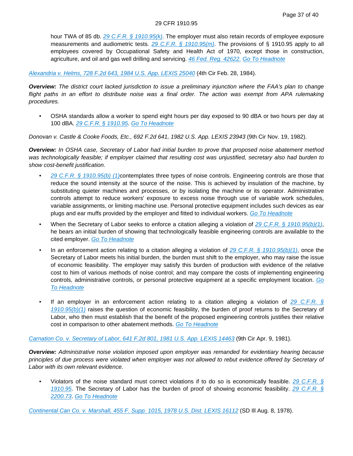hour TWA of 85 db. [29 C.F.R. § 1910.95\(k\)](https://advance.lexis.com/api/document?collection=administrative-codes&id=urn:contentItem:5GFW-1YC0-008H-03R7-00000-00&context=). The employer must also retain records of employee exposure measurements and audiometric tests. [29 C.F.R. § 1910.95\(m\)](https://advance.lexis.com/api/document?collection=administrative-codes&id=urn:contentItem:5GFW-1YC0-008H-03R7-00000-00&context=). The provisions of § 1910.95 apply to all employees covered by Occupational Safety and Health Act of 1970, except those in construction, agriculture, and oil and gas well drilling and servicing. [46 Fed. Reg. 42622.](https://advance.lexis.com/api/document?collection=administrative-codes&id=urn:contentItem:3SD4-1FJ0-000N-02N6-00000-00&context=) [Go To Headnote](https://advance.lexis.com/api/document?collection=cases&id=urn:contentItem:3S4W-V230-003B-G23D-00000-00&context=)

[Alexandria v. Helms, 728 F.2d 643, 1984 U.S. App. LEXIS 25040](https://advance.lexis.com/api/document?collection=cases&id=urn:contentItem:3S4W-XHJ0-003B-G380-00000-00&context=) (4th Cir Feb. 28, 1984).

**Overview:** The district court lacked jurisdiction to issue a preliminary injunction where the FAA's plan to change flight paths in an effort to distribute noise was a final order. The action was exempt from APA rulemaking procedures.

• OSHA standards allow a worker to spend eight hours per day exposed to 90 dBA or two hours per day at 100 dBA. [29 C.F.R. § 1910.95](https://advance.lexis.com/api/document?collection=administrative-codes&id=urn:contentItem:5GFW-1YC0-008H-03R7-00000-00&context=). [Go To Headnote](https://advance.lexis.com/api/document?collection=cases&id=urn:contentItem:3S4W-XHJ0-003B-G380-00000-00&context=)

Donovan v. Castle & Cooke Foods, Etc., 692 F.2d 641, 1982 U.S. App. LEXIS 23943 (9th Cir Nov. 19, 1982).

**Overview:** In OSHA case, Secretary of Labor had initial burden to prove that proposed noise abatement method was technologically feasible; if employer claimed that resulting cost was unjustified, secretary also had burden to show cost-benefit justification.

- [29 C.F.R. § 1910.95\(b\) \(1\)](https://advance.lexis.com/api/document?collection=administrative-codes&id=urn:contentItem:5GFW-1YC0-008H-03R7-00000-00&context=)contemplates three types of noise controls. Engineering controls are those that reduce the sound intensity at the source of the noise. This is achieved by insulation of the machine, by substituting quieter machines and processes, or by isolating the machine or its operator. Administrative controls attempt to reduce workers' exposure to excess noise through use of variable work schedules, variable assignments, or limiting machine use. Personal protective equipment includes such devices as ear plugs and ear muffs provided by the employer and fitted to individual workers. [Go To Headnote](https://advance.lexis.com/api/document?collection=cases&id=urn:contentItem:3S4X-1FT0-003B-G17C-00000-00&context=)
- When the Secretary of Labor seeks to enforce a citation alleging a violation of [29 C.F.R. § 1910.95\(b\)\(1\)](https://advance.lexis.com/api/document?collection=administrative-codes&id=urn:contentItem:5GFW-1YC0-008H-03R7-00000-00&context=), he bears an initial burden of showing that technologically feasible engineering controls are available to the cited employer. [Go To Headnote](https://advance.lexis.com/api/document?collection=cases&id=urn:contentItem:3S4X-1FT0-003B-G17C-00000-00&context=)
- In an enforcement action relating to a citation alleging a violation of  $29 \text{ C.F.R.}$  §  $1910.95(b)(1)$ , once the Secretary of Labor meets his initial burden, the burden must shift to the employer, who may raise the issue of economic feasibility. The employer may satisfy this burden of production with evidence of the relative cost to him of various methods of noise control; and may compare the costs of implementing engineering controls, administrative controls, or personal protective equipment at a specific employment location. Go [To Headnote](https://advance.lexis.com/api/document?collection=cases&id=urn:contentItem:3S4X-1FT0-003B-G17C-00000-00&context=)
- If an employer in an enforcement action relating to a citation alleging a violation of 29 C.F.R.  $\S$  $1910.95(b)(1)$  raises the question of economic feasibility, the burden of proof returns to the Secretary of Labor, who then must establish that the benefit of the proposed engineering controls justifies their relative cost in comparison to other abatement methods. [Go To Headnote](https://advance.lexis.com/api/document?collection=cases&id=urn:contentItem:3S4X-1FT0-003B-G17C-00000-00&context=)

[Carnation Co. v. Secretary of Labor, 641 F.2d 801, 1981 U.S. App. LEXIS 14463](https://advance.lexis.com/api/document?collection=cases&id=urn:contentItem:3S4X-3F90-0039-W4K5-00000-00&context=) (9th Cir Apr. 9, 1981).

**Overview:** Administrative noise violation imposed upon employer was remanded for evidentiary hearing because principles of due process were violated when employer was not allowed to rebut evidence offered by Secretary of Labor with its own relevant evidence.

• Violators of the noise standard must correct violations if to do so is economically feasible. 29 C.F.R.  $\S$ [1910.95](https://advance.lexis.com/api/document?collection=administrative-codes&id=urn:contentItem:5GFW-1YC0-008H-03R7-00000-00&context=). The Secretary of Labor has the burden of proof of showing economic feasibility. 29 C.F.R. § [2200.73](https://advance.lexis.com/api/document?collection=administrative-codes&id=urn:contentItem:5GFW-1YJ0-008H-04SM-00000-00&context=). [Go To Headnote](https://advance.lexis.com/api/document?collection=cases&id=urn:contentItem:3S4X-3F90-0039-W4K5-00000-00&context=)

[Continental Can Co. v. Marshall, 455 F. Supp. 1015, 1978 U.S. Dist. LEXIS 16112](https://advance.lexis.com/api/document?collection=cases&id=urn:contentItem:3S4N-JPF0-0054-72S2-00000-00&context=) (SD Ill Aug. 8, 1978).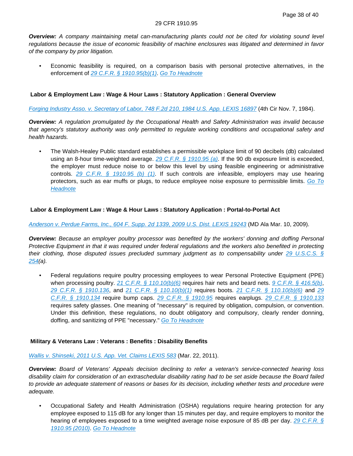**Overview:** A company maintaining metal can-manufacturing plants could not be cited for violating sound level regulations because the issue of economic feasibility of machine enclosures was litigated and determined in favor of the company by prior litigation.

• Economic feasibility is required, on a comparison basis with personal protective alternatives, in the enforcement of [29 C.F.R. § 1910.95\(b\)\(1\)](https://advance.lexis.com/api/document?collection=administrative-codes&id=urn:contentItem:5GFW-1YC0-008H-03R7-00000-00&context=). [Go To Headnote](https://advance.lexis.com/api/document?collection=cases&id=urn:contentItem:3S4N-JPF0-0054-72S2-00000-00&context=)

## **Labor & Employment Law : Wage & Hour Laws : Statutory Application : General Overview**

[Forging Industry Asso. v. Secretary of Labor, 748 F.2d 210, 1984 U.S. App. LEXIS 16897](https://advance.lexis.com/api/document?collection=cases&id=urn:contentItem:3S4W-V230-003B-G23D-00000-00&context=) (4th Cir Nov. 7, 1984).

**Overview:** A regulation promulgated by the Occupational Health and Safety Administration was invalid because that agency's statutory authority was only permitted to regulate working conditions and occupational safety and health hazards.

• The Walsh-Healey Public standard establishes a permissible workplace limit of 90 decibels (db) calculated using an 8-hour time-weighted average. [29 C.F.R. § 1910.95 \(a\)](https://advance.lexis.com/api/document?collection=administrative-codes&id=urn:contentItem:5GFW-1YC0-008H-03R7-00000-00&context=). If the 90 db exposure limit is exceeded, the employer must reduce noise to or below this level by using feasible engineering or administrative controls. 29 C.F.R.  $\S$  1910.95 (b) (1). If such controls are infeasible, employers may use hearing protectors, such as ear muffs or plugs, to reduce employee noise exposure to permissible limits. Go To **[Headnote](https://advance.lexis.com/api/document?collection=cases&id=urn:contentItem:3S4W-V230-003B-G23D-00000-00&context=)** 

### **Labor & Employment Law : Wage & Hour Laws : Statutory Application : Portal-to-Portal Act**

[Anderson v. Perdue Farms, Inc., 604 F. Supp. 2d 1339, 2009 U.S. Dist. LEXIS 19243](https://advance.lexis.com/api/document?collection=cases&id=urn:contentItem:4VTT-S7C0-TXFP-824R-00000-00&context=) (MD Ala Mar. 10, 2009).

**Overview:** Because an employer poultry processor was benefited by the workers' donning and doffing Personal Protective Equipment in that it was required under federal regulations and the workers also benefited in protecting their clothing, those disputed issues precluded summary judgment as to compensability under [29 U.S.C.S. §](https://advance.lexis.com/api/document?collection=statutes-legislation&id=urn:contentItem:4YF7-GKH1-NRF4-40P1-00000-00&context=)  [254\(](https://advance.lexis.com/api/document?collection=statutes-legislation&id=urn:contentItem:4YF7-GKH1-NRF4-40P1-00000-00&context=)a).

• Federal regulations require poultry processing employees to wear Personal Protective Equipment (PPE) when processing poultry. [21 C.F.R. § 110.10\(b\)\(6\)](https://advance.lexis.com/api/document?collection=administrative-codes&id=urn:contentItem:5KFB-B8K0-008G-Y1DX-00000-00&context=) requires hair nets and beard nets.  $9 \text{ C.F.R.}$  § 416.5(b), [29 C.F.R. § 1910.136](https://advance.lexis.com/api/document?collection=administrative-codes&id=urn:contentItem:5M8X-JM20-008H-036G-00000-00&context=), and [21 C.F.R. § 110.10\(b\)\(1\)](https://advance.lexis.com/api/document?collection=administrative-codes&id=urn:contentItem:5KFB-B8K0-008G-Y1DX-00000-00&context=) requires boots. [21 C.F.R. § 110.10\(b\)\(6\)](https://advance.lexis.com/api/document?collection=administrative-codes&id=urn:contentItem:5KFB-B8K0-008G-Y1DX-00000-00&context=) and 29 [C.F.R. § 1910.134](https://advance.lexis.com/api/document?collection=administrative-codes&id=urn:contentItem:5M8X-JM60-008H-04BR-00000-00&context=) require bump caps. [29 C.F.R. § 1910.95](https://advance.lexis.com/api/document?collection=administrative-codes&id=urn:contentItem:5GFW-1YC0-008H-03R7-00000-00&context=) requires earplugs. [29 C.F.R. § 1910.133](https://advance.lexis.com/api/document?collection=administrative-codes&id=urn:contentItem:5M8X-JM20-008H-036D-00000-00&context=) requires safety glasses. One meaning of "necessary" is required by obligation, compulsion, or convention. Under this definition, these regulations, no doubt obligatory and compulsory, clearly render donning, doffing, and sanitizing of PPE "necessary." [Go To Headnote](https://advance.lexis.com/api/document?collection=cases&id=urn:contentItem:4VTT-S7C0-TXFP-824R-00000-00&context=)

### **Military & Veterans Law : Veterans : Benefits : Disability Benefits**

### [Wallis v. Shinseki, 2011 U.S. App. Vet. Claims LEXIS 583](https://advance.lexis.com/api/document?collection=cases&id=urn:contentItem:52FD-T9X1-652X-M1CT-00000-00&context=) (Mar. 22, 2011).

**Overview:** Board of Veterans' Appeals decision declining to refer a veteran's service-connected hearing loss disability claim for consideration of an extraschedular disability rating had to be set aside because the Board failed to provide an adequate statement of reasons or bases for its decision, including whether tests and procedure were adequate.

• Occupational Safety and Health Administration (OSHA) regulations require hearing protection for any employee exposed to 115 dB for any longer than 15 minutes per day, and require employers to monitor the hearing of employees exposed to a time weighted average noise exposure of 85 dB per day. 29 C.F.R. § [1910.95 \(2010\)](https://advance.lexis.com/api/document?collection=administrative-codes&id=urn:contentItem:5GFW-1YC0-008H-03R7-00000-00&context=). [Go To Headnote](https://advance.lexis.com/api/document?collection=cases&id=urn:contentItem:52FD-T9X1-652X-M1CT-00000-00&context=)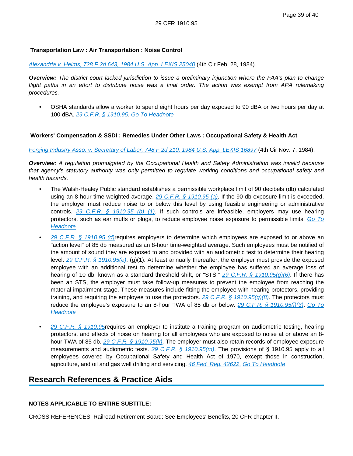## **Transportation Law : Air Transportation : Noise Control**

[Alexandria v. Helms, 728 F.2d 643, 1984 U.S. App. LEXIS 25040](https://advance.lexis.com/api/document?collection=cases&id=urn:contentItem:3S4W-XHJ0-003B-G380-00000-00&context=) (4th Cir Feb. 28, 1984).

**Overview:** The district court lacked jurisdiction to issue a preliminary injunction where the FAA's plan to change flight paths in an effort to distribute noise was a final order. The action was exempt from APA rulemaking procedures.

• OSHA standards allow a worker to spend eight hours per day exposed to 90 dBA or two hours per day at 100 dBA. [29 C.F.R. § 1910.95](https://advance.lexis.com/api/document?collection=administrative-codes&id=urn:contentItem:5GFW-1YC0-008H-03R7-00000-00&context=). [Go To Headnote](https://advance.lexis.com/api/document?collection=cases&id=urn:contentItem:3S4W-XHJ0-003B-G380-00000-00&context=)

## **Workers' Compensation & SSDI : Remedies Under Other Laws : Occupational Safety & Health Act**

[Forging Industry Asso. v. Secretary of Labor, 748 F.2d 210, 1984 U.S. App. LEXIS 16897](https://advance.lexis.com/api/document?collection=cases&id=urn:contentItem:3S4W-V230-003B-G23D-00000-00&context=) (4th Cir Nov. 7, 1984).

**Overview:** A regulation promulgated by the Occupational Health and Safety Administration was invalid because that agency's statutory authority was only permitted to regulate working conditions and occupational safety and health hazards.

- The Walsh-Healey Public standard establishes a permissible workplace limit of 90 decibels (db) calculated using an 8-hour time-weighted average.  $29$  C.F.R. § 1910.95 (a). If the 90 db exposure limit is exceeded, the employer must reduce noise to or below this level by using feasible engineering or administrative controls. 29 C.F.R.  $\frac{6}{5}$  1910.95 (b) (1). If such controls are infeasible, employers may use hearing protectors, such as ear muffs or plugs, to reduce employee noise exposure to permissible limits. [Go To](https://advance.lexis.com/api/document?collection=cases&id=urn:contentItem:3S4W-V230-003B-G23D-00000-00&context=)  **[Headnote](https://advance.lexis.com/api/document?collection=cases&id=urn:contentItem:3S4W-V230-003B-G23D-00000-00&context=)**
- [29 C.F.R. § 1910.95 \(d\)](https://advance.lexis.com/api/document?collection=administrative-codes&id=urn:contentItem:5GFW-1YC0-008H-03R7-00000-00&context=) requires employers to determine which employees are exposed to or above an "action level" of 85 db measured as an 8-hour time-weighted average. Such employees must be notified of the amount of sound they are exposed to and provided with an audiometric test to determine their hearing level. [29 C.F.R. § 1910.95\(e\)](https://advance.lexis.com/api/document?collection=administrative-codes&id=urn:contentItem:5GFW-1YC0-008H-03R7-00000-00&context=), (g)(1). At least annually thereafter, the employer must provide the exposed employee with an additional test to determine whether the employee has suffered an average loss of hearing of 10 db, known as a standard threshold shift, or "STS." [29 C.F.R. § 1910.95\(g\)\(6\)](https://advance.lexis.com/api/document?collection=administrative-codes&id=urn:contentItem:5GFW-1YC0-008H-03R7-00000-00&context=). If there has been an STS, the employer must take follow-up measures to prevent the employee from reaching the material impairment stage. These measures include fitting the employee with hearing protectors, providing training, and requiring the employee to use the protectors. 29 C.F.R.  $\S$  1910.95(g)(8). The protectors must reduce the employee's exposure to an 8-hour TWA of 85 db or below. 29 C.F.R.  $\frac{5}{9}$  1910.95(j)(3). Go To **[Headnote](https://advance.lexis.com/api/document?collection=cases&id=urn:contentItem:3S4W-V230-003B-G23D-00000-00&context=)**
- 29 C.F.R.  $\S$  1910.95 requires an employer to institute a training program on audiometric testing, hearing protectors, and effects of noise on hearing for all employees who are exposed to noise at or above an 8- hour TWA of 85 db. [29 C.F.R. § 1910.95\(k\)](https://advance.lexis.com/api/document?collection=administrative-codes&id=urn:contentItem:5GFW-1YC0-008H-03R7-00000-00&context=). The employer must also retain records of employee exposure measurements and audiometric tests. [29 C.F.R. § 1910.95\(m\)](https://advance.lexis.com/api/document?collection=administrative-codes&id=urn:contentItem:5GFW-1YC0-008H-03R7-00000-00&context=). The provisions of § 1910.95 apply to all employees covered by Occupational Safety and Health Act of 1970, except those in construction, agriculture, and oil and gas well drilling and servicing. [46 Fed. Reg. 42622.](https://advance.lexis.com/api/document?collection=administrative-codes&id=urn:contentItem:3SD4-1FJ0-000N-02N6-00000-00&context=) [Go To Headnote](https://advance.lexis.com/api/document?collection=cases&id=urn:contentItem:3S4W-V230-003B-G23D-00000-00&context=)

## **Research References & Practice Aids**

## **NOTES APPLICABLE TO ENTIRE SUBTITLE:**

CROSS REFERENCES: Railroad Retirement Board: See Employees' Benefits, 20 CFR chapter II.